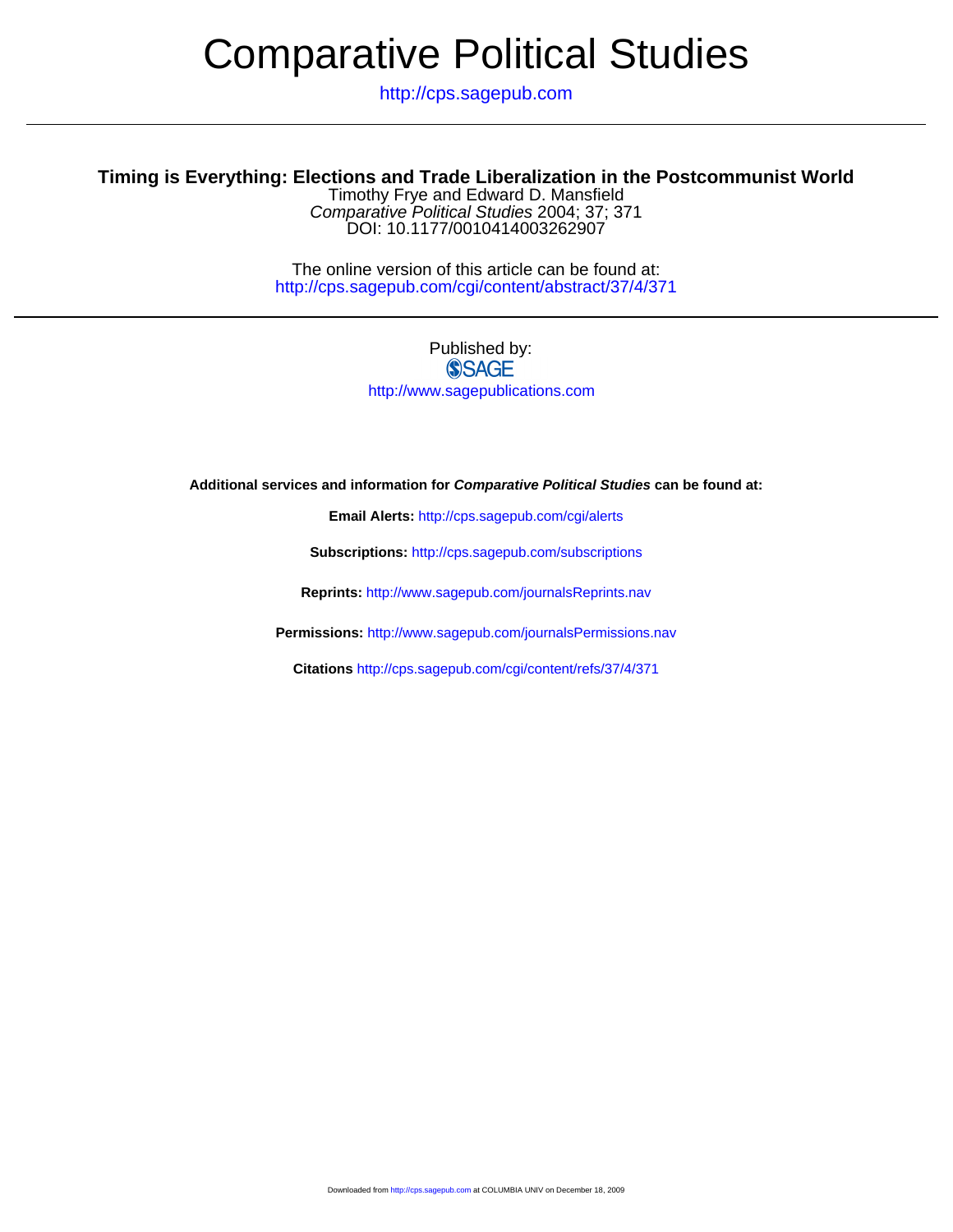# Comparative Political Studies

http://cps.sagepub.com

## **Timing is Everything: Elections and Trade Liberalization in the Postcommunist World**

DOI: 10.1177/0010414003262907 Comparative Political Studies 2004; 37; 371 Timothy Frye and Edward D. Mansfield

http://cps.sagepub.com/cgi/content/abstract/37/4/371 The online version of this article can be found at:

### Published by: **SSAGE** http://www.sagepublications.com

**Additional services and information for Comparative Political Studies can be found at:**

**Email Alerts:** <http://cps.sagepub.com/cgi/alerts>

**Subscriptions:** <http://cps.sagepub.com/subscriptions>

**Reprints:** <http://www.sagepub.com/journalsReprints.nav>

**Permissions:** <http://www.sagepub.com/journalsPermissions.nav>

**Citations** <http://cps.sagepub.com/cgi/content/refs/37/4/371>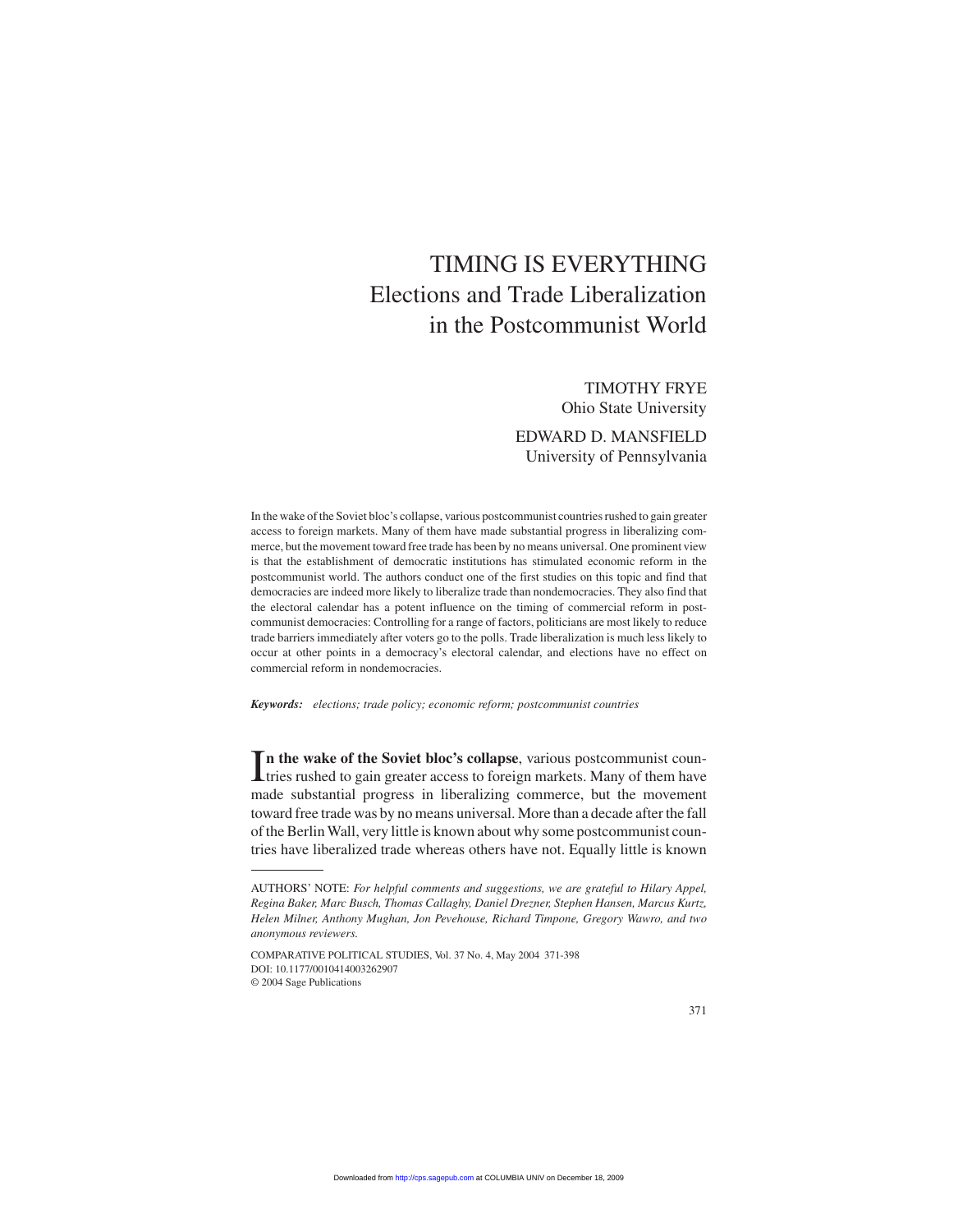# TIMING IS EVERYTHING Elections and Trade Liberalization in the Postcommunist World

#### TIMOTHY FRYE Ohio State University

EDWARD D. MANSFIELD University of Pennsylvania

In the wake of the Soviet bloc's collapse, various postcommunist countries rushed to gain greater access to foreign markets. Many of them have made substantial progress in liberalizing commerce, but the movement toward free trade has been by no means universal. One prominent view is that the establishment of democratic institutions has stimulated economic reform in the postcommunist world. The authors conduct one of the first studies on this topic and find that democracies are indeed more likely to liberalize trade than nondemocracies. They also find that the electoral calendar has a potent influence on the timing of commercial reform in postcommunist democracies: Controlling for a range of factors, politicians are most likely to reduce trade barriers immediately after voters go to the polls. Trade liberalization is much less likely to occur at other points in a democracy's electoral calendar, and elections have no effect on commercial reform in nondemocracies.

*Keywords: elections; trade policy; economic reform; postcommunist countries*

In the wake of the Soviet bloc's collapse, various postcommunist coun-<br>tries rushed to gain greater access to foreign markets. Many of them have tries rushed to gain greater access to foreign markets. Many of them have made substantial progress in liberalizing commerce, but the movement toward free trade was by no means universal. More than a decade after the fall of the Berlin Wall, very little is known about why some postcommunist countries have liberalized trade whereas others have not. Equally little is known

COMPARATIVE POLITICAL STUDIES, Vol. 37 No. 4, May 2004 371-398 DOI: 10.1177/0010414003262907 © 2004 Sage Publications

AUTHORS' NOTE: *For helpful comments and suggestions, we are grateful to Hilary Appel, Regina Baker, Marc Busch, Thomas Callaghy, Daniel Drezner, Stephen Hansen, Marcus Kurtz, Helen Milner, Anthony Mughan, Jon Pevehouse, Richard Timpone, Gregory Wawro, and two anonymous reviewers.*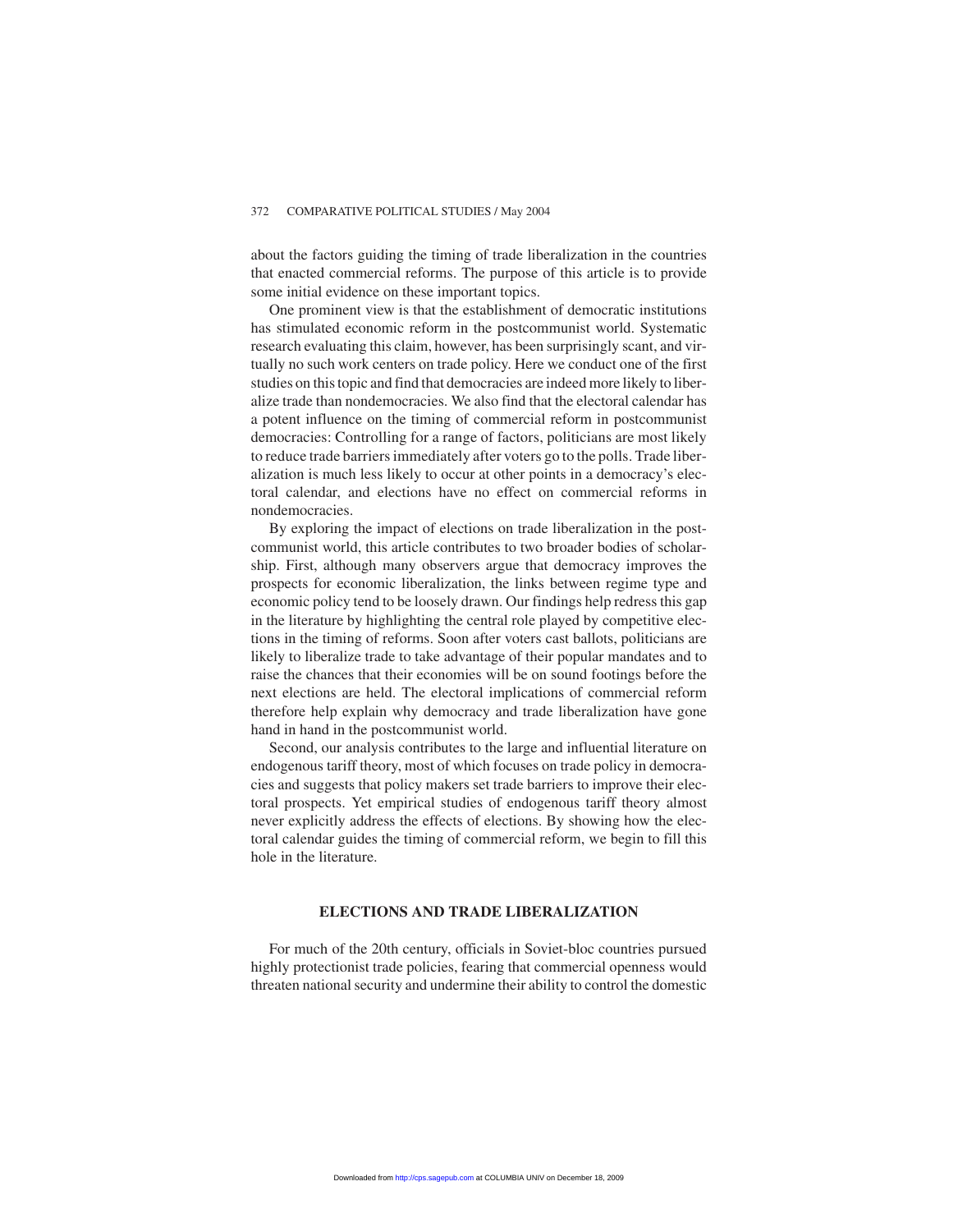about the factors guiding the timing of trade liberalization in the countries that enacted commercial reforms. The purpose of this article is to provide some initial evidence on these important topics.

One prominent view is that the establishment of democratic institutions has stimulated economic reform in the postcommunist world. Systematic research evaluating this claim, however, has been surprisingly scant, and virtually no such work centers on trade policy. Here we conduct one of the first studies on this topic and find that democracies are indeed more likely to liberalize trade than nondemocracies. We also find that the electoral calendar has a potent influence on the timing of commercial reform in postcommunist democracies: Controlling for a range of factors, politicians are most likely to reduce trade barriers immediately after voters go to the polls. Trade liberalization is much less likely to occur at other points in a democracy's electoral calendar, and elections have no effect on commercial reforms in nondemocracies.

By exploring the impact of elections on trade liberalization in the postcommunist world, this article contributes to two broader bodies of scholarship. First, although many observers argue that democracy improves the prospects for economic liberalization, the links between regime type and economic policy tend to be loosely drawn. Our findings help redress this gap in the literature by highlighting the central role played by competitive elections in the timing of reforms. Soon after voters cast ballots, politicians are likely to liberalize trade to take advantage of their popular mandates and to raise the chances that their economies will be on sound footings before the next elections are held. The electoral implications of commercial reform therefore help explain why democracy and trade liberalization have gone hand in hand in the postcommunist world.

Second, our analysis contributes to the large and influential literature on endogenous tariff theory, most of which focuses on trade policy in democracies and suggests that policy makers set trade barriers to improve their electoral prospects. Yet empirical studies of endogenous tariff theory almost never explicitly address the effects of elections. By showing how the electoral calendar guides the timing of commercial reform, we begin to fill this hole in the literature.

#### **ELECTIONS AND TRADE LIBERALIZATION**

For much of the 20th century, officials in Soviet-bloc countries pursued highly protectionist trade policies, fearing that commercial openness would threaten national security and undermine their ability to control the domestic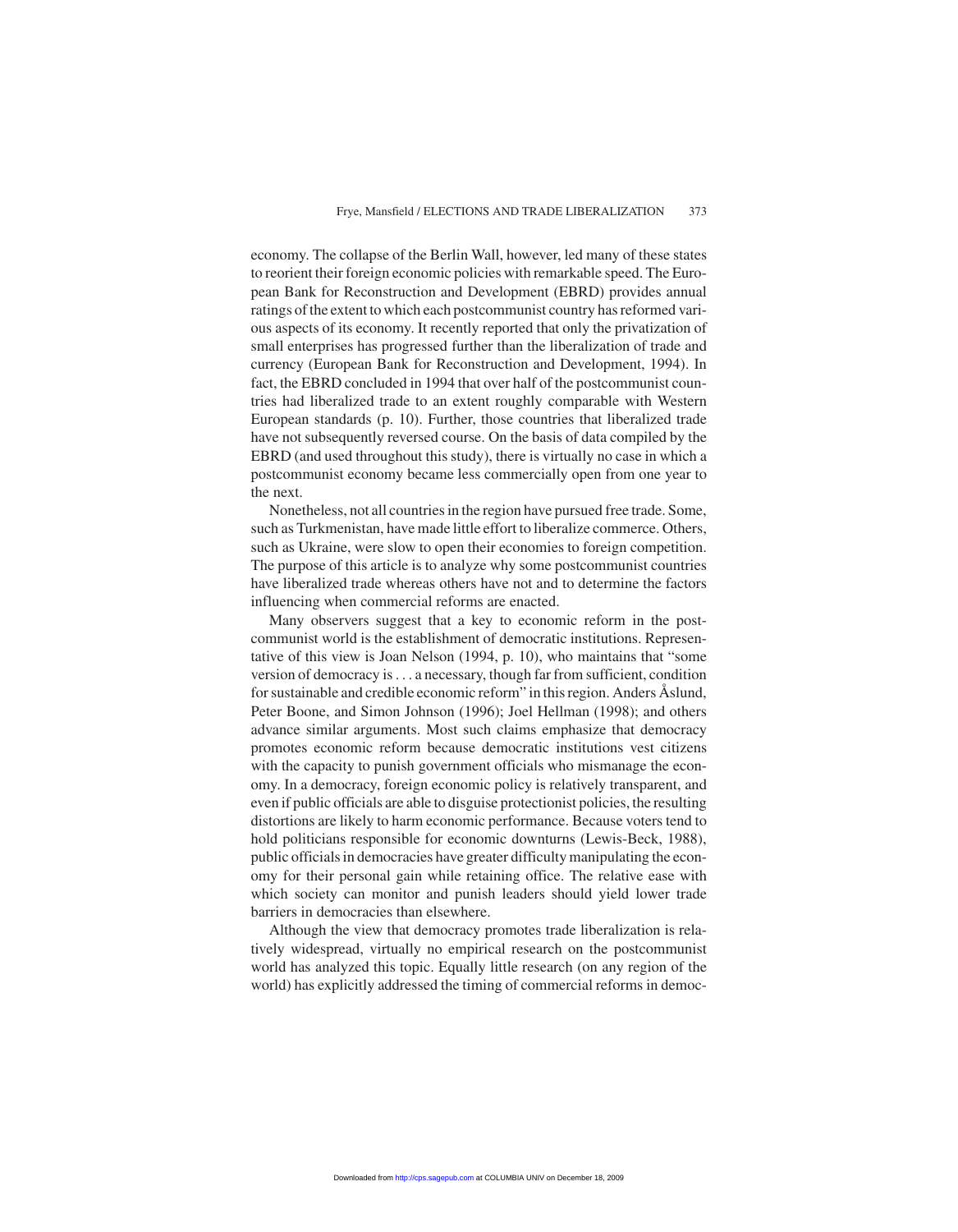economy. The collapse of the Berlin Wall, however, led many of these states to reorient their foreign economic policies with remarkable speed. The European Bank for Reconstruction and Development (EBRD) provides annual ratings of the extent to which each postcommunist country has reformed various aspects of its economy. It recently reported that only the privatization of small enterprises has progressed further than the liberalization of trade and currency (European Bank for Reconstruction and Development, 1994). In fact, the EBRD concluded in 1994 that over half of the postcommunist countries had liberalized trade to an extent roughly comparable with Western European standards (p. 10). Further, those countries that liberalized trade have not subsequently reversed course. On the basis of data compiled by the EBRD (and used throughout this study), there is virtually no case in which a postcommunist economy became less commercially open from one year to the next.

Nonetheless, not all countries in the region have pursued free trade. Some, such as Turkmenistan, have made little effort to liberalize commerce. Others, such as Ukraine, were slow to open their economies to foreign competition. The purpose of this article is to analyze why some postcommunist countries have liberalized trade whereas others have not and to determine the factors influencing when commercial reforms are enacted.

Many observers suggest that a key to economic reform in the postcommunist world is the establishment of democratic institutions. Representative of this view is Joan Nelson (1994, p. 10), who maintains that "some version of democracy is . . . a necessary, though far from sufficient, condition for sustainable and credible economic reform" in this region. Anders Åslund, Peter Boone, and Simon Johnson (1996); Joel Hellman (1998); and others advance similar arguments. Most such claims emphasize that democracy promotes economic reform because democratic institutions vest citizens with the capacity to punish government officials who mismanage the economy. In a democracy, foreign economic policy is relatively transparent, and even if public officials are able to disguise protectionist policies, the resulting distortions are likely to harm economic performance. Because voters tend to hold politicians responsible for economic downturns (Lewis-Beck, 1988), public officials in democracies have greater difficulty manipulating the economy for their personal gain while retaining office. The relative ease with which society can monitor and punish leaders should yield lower trade barriers in democracies than elsewhere.

Although the view that democracy promotes trade liberalization is relatively widespread, virtually no empirical research on the postcommunist world has analyzed this topic. Equally little research (on any region of the world) has explicitly addressed the timing of commercial reforms in democ-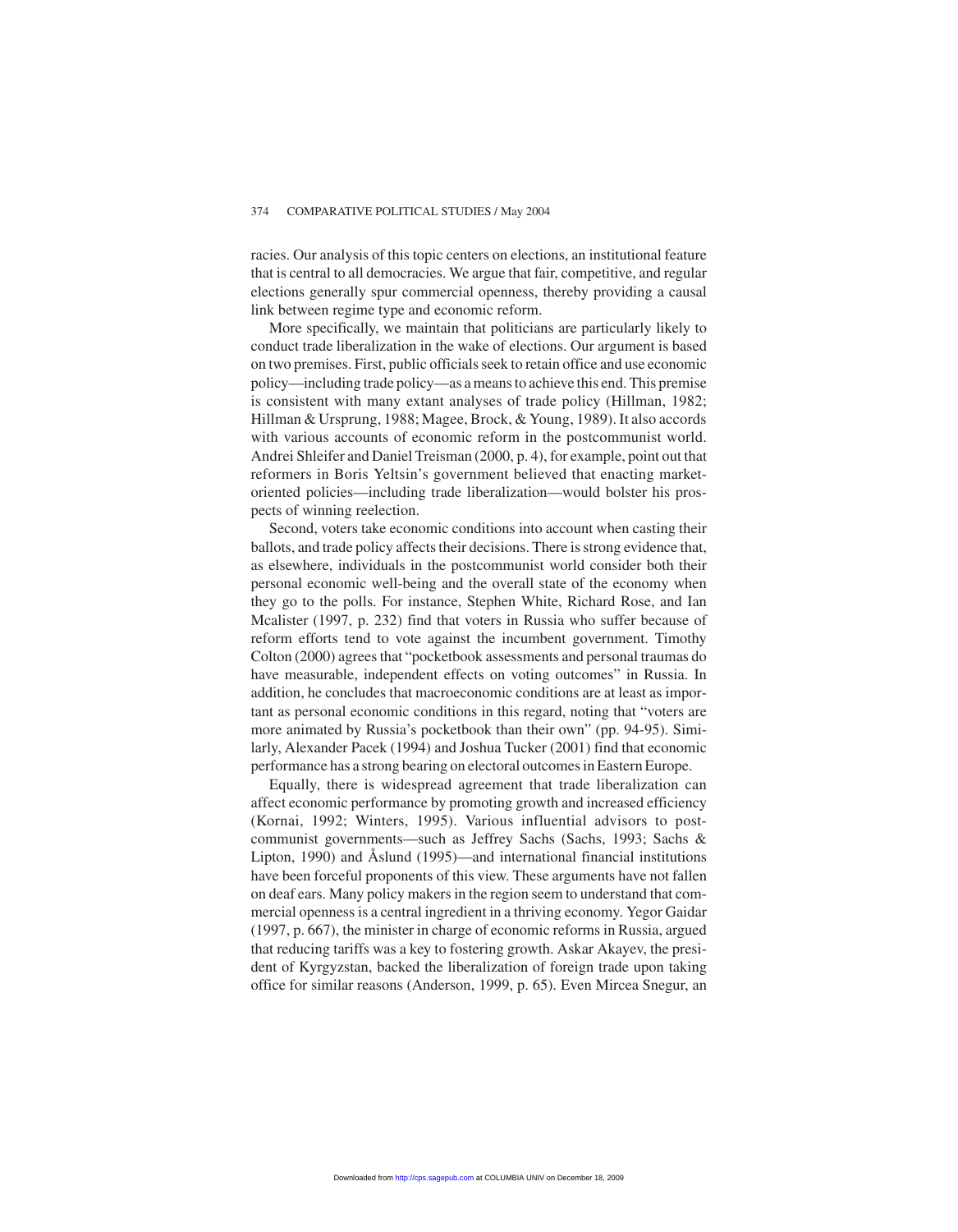racies. Our analysis of this topic centers on elections, an institutional feature that is central to all democracies. We argue that fair, competitive, and regular elections generally spur commercial openness, thereby providing a causal link between regime type and economic reform.

More specifically, we maintain that politicians are particularly likely to conduct trade liberalization in the wake of elections. Our argument is based on two premises. First, public officials seek to retain office and use economic policy—including trade policy—as a means to achieve this end. This premise is consistent with many extant analyses of trade policy (Hillman, 1982; Hillman & Ursprung, 1988; Magee, Brock, & Young, 1989). It also accords with various accounts of economic reform in the postcommunist world. Andrei Shleifer and Daniel Treisman (2000, p. 4), for example, point out that reformers in Boris Yeltsin's government believed that enacting marketoriented policies—including trade liberalization—would bolster his prospects of winning reelection.

Second, voters take economic conditions into account when casting their ballots, and trade policy affects their decisions. There is strong evidence that, as elsewhere, individuals in the postcommunist world consider both their personal economic well-being and the overall state of the economy when they go to the polls. For instance, Stephen White, Richard Rose, and Ian Mcalister (1997, p. 232) find that voters in Russia who suffer because of reform efforts tend to vote against the incumbent government. Timothy Colton (2000) agrees that "pocketbook assessments and personal traumas do have measurable, independent effects on voting outcomes" in Russia. In addition, he concludes that macroeconomic conditions are at least as important as personal economic conditions in this regard, noting that "voters are more animated by Russia's pocketbook than their own" (pp. 94-95). Similarly, Alexander Pacek (1994) and Joshua Tucker (2001) find that economic performance has a strong bearing on electoral outcomes in Eastern Europe.

Equally, there is widespread agreement that trade liberalization can affect economic performance by promoting growth and increased efficiency (Kornai, 1992; Winters, 1995). Various influential advisors to postcommunist governments—such as Jeffrey Sachs (Sachs, 1993; Sachs & Lipton, 1990) and Åslund (1995)—and international financial institutions have been forceful proponents of this view. These arguments have not fallen on deaf ears. Many policy makers in the region seem to understand that commercial openness is a central ingredient in a thriving economy. Yegor Gaidar (1997, p. 667), the minister in charge of economic reforms in Russia, argued that reducing tariffs was a key to fostering growth. Askar Akayev, the president of Kyrgyzstan, backed the liberalization of foreign trade upon taking office for similar reasons (Anderson, 1999, p. 65). Even Mircea Snegur, an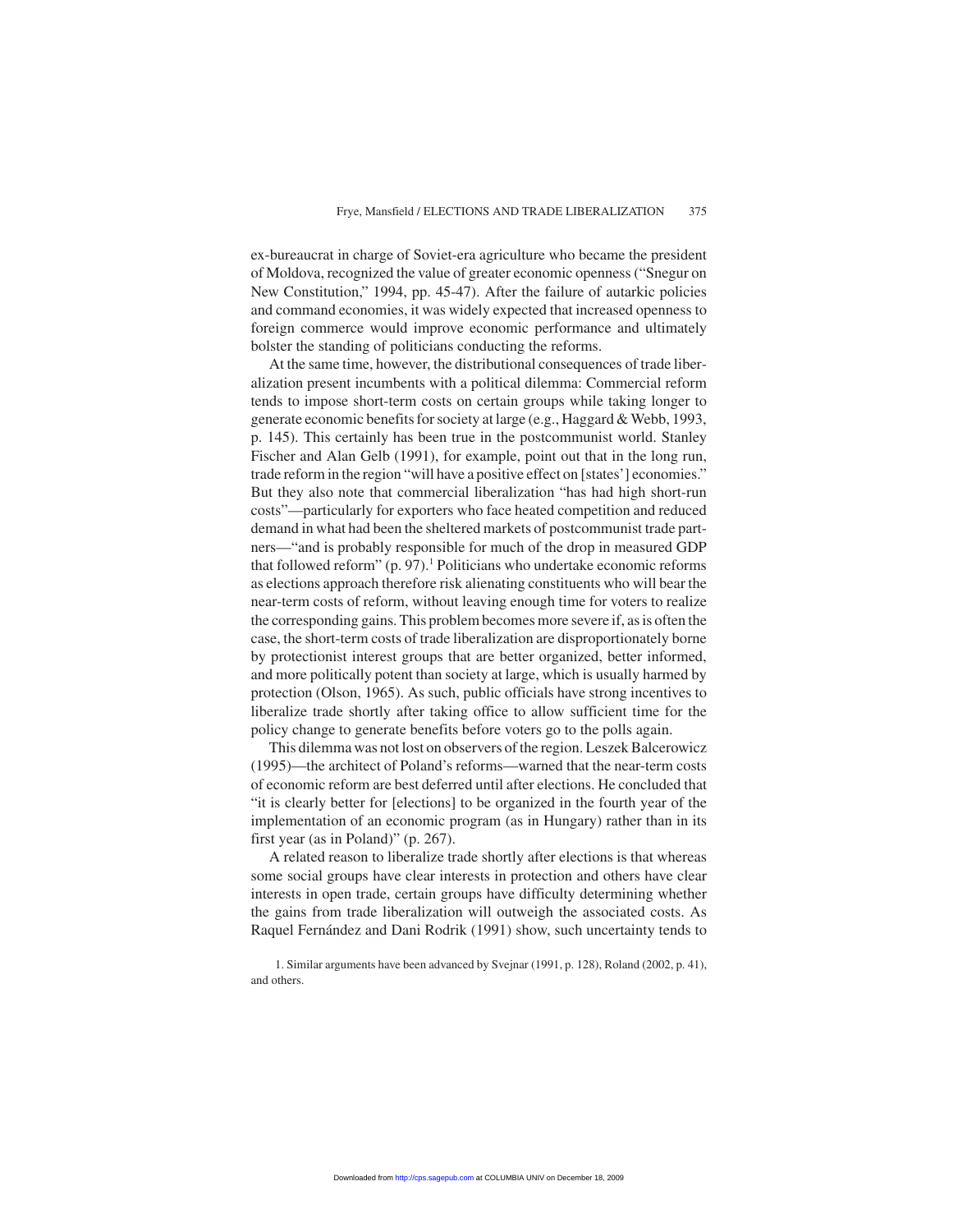ex-bureaucrat in charge of Soviet-era agriculture who became the president of Moldova, recognized the value of greater economic openness ("Snegur on New Constitution," 1994, pp. 45-47). After the failure of autarkic policies and command economies, it was widely expected that increased openness to foreign commerce would improve economic performance and ultimately bolster the standing of politicians conducting the reforms.

At the same time, however, the distributional consequences of trade liberalization present incumbents with a political dilemma: Commercial reform tends to impose short-term costs on certain groups while taking longer to generate economic benefits for society at large (e.g., Haggard & Webb, 1993, p. 145). This certainly has been true in the postcommunist world. Stanley Fischer and Alan Gelb (1991), for example, point out that in the long run, trade reform in the region "will have a positive effect on [states'] economies." But they also note that commercial liberalization "has had high short-run costs"—particularly for exporters who face heated competition and reduced demand in what had been the sheltered markets of postcommunist trade partners—"and is probably responsible for much of the drop in measured GDP that followed reform"  $(p. 97)$ .<sup>1</sup> Politicians who undertake economic reforms as elections approach therefore risk alienating constituents who will bear the near-term costs of reform, without leaving enough time for voters to realize the corresponding gains. This problem becomes more severe if, as is often the case, the short-term costs of trade liberalization are disproportionately borne by protectionist interest groups that are better organized, better informed, and more politically potent than society at large, which is usually harmed by protection (Olson, 1965). As such, public officials have strong incentives to liberalize trade shortly after taking office to allow sufficient time for the policy change to generate benefits before voters go to the polls again.

This dilemma was not lost on observers of the region. Leszek Balcerowicz (1995)—the architect of Poland's reforms—warned that the near-term costs of economic reform are best deferred until after elections. He concluded that "it is clearly better for [elections] to be organized in the fourth year of the implementation of an economic program (as in Hungary) rather than in its first year (as in Poland)" (p. 267).

A related reason to liberalize trade shortly after elections is that whereas some social groups have clear interests in protection and others have clear interests in open trade, certain groups have difficulty determining whether the gains from trade liberalization will outweigh the associated costs. As Raquel Fernández and Dani Rodrik (1991) show, such uncertainty tends to

1. Similar arguments have been advanced by Svejnar (1991, p. 128), Roland (2002, p. 41), and others.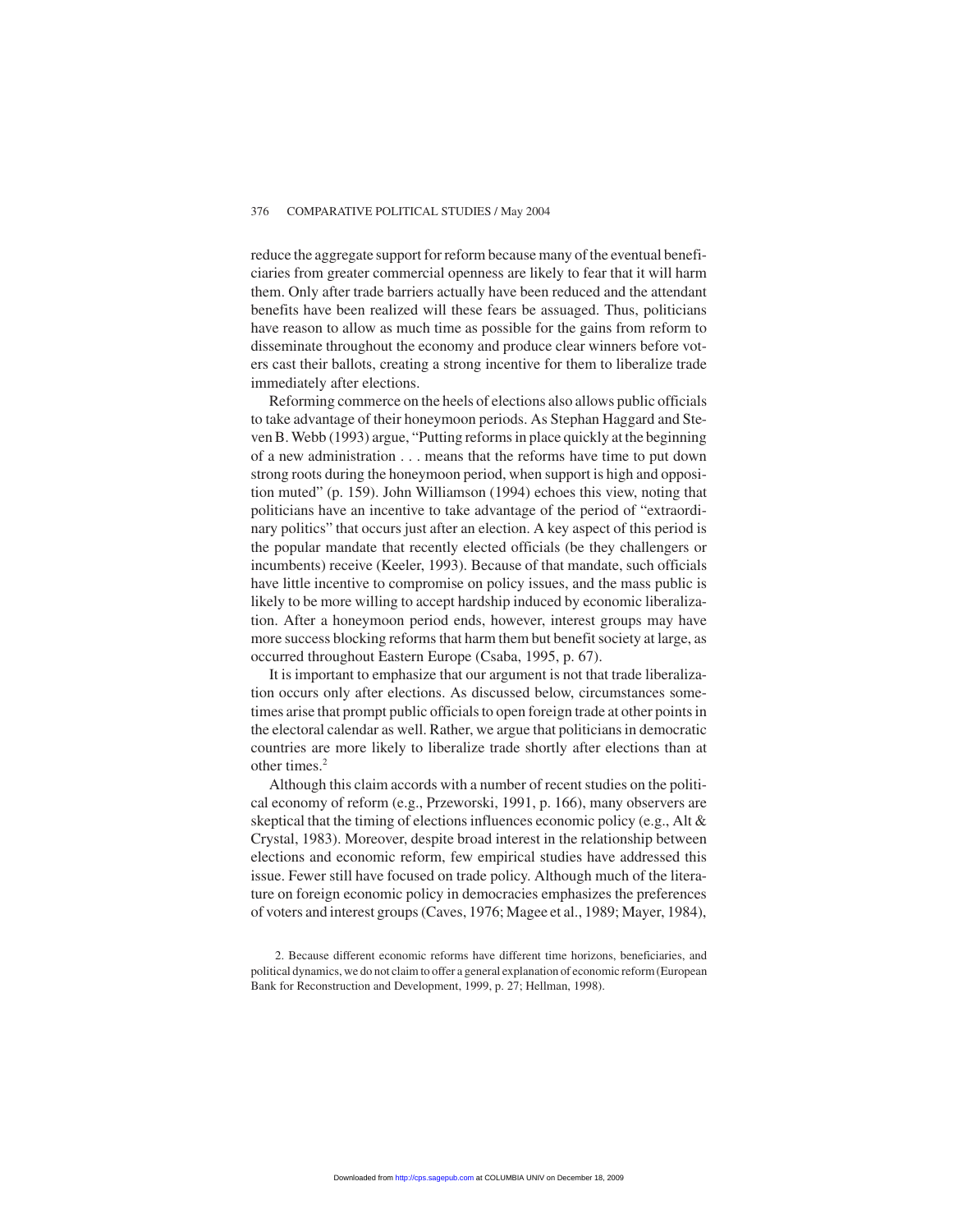reduce the aggregate support for reform because many of the eventual beneficiaries from greater commercial openness are likely to fear that it will harm them. Only after trade barriers actually have been reduced and the attendant benefits have been realized will these fears be assuaged. Thus, politicians have reason to allow as much time as possible for the gains from reform to disseminate throughout the economy and produce clear winners before voters cast their ballots, creating a strong incentive for them to liberalize trade immediately after elections.

Reforming commerce on the heels of elections also allows public officials to take advantage of their honeymoon periods. As Stephan Haggard and Steven B. Webb (1993) argue, "Putting reforms in place quickly at the beginning of a new administration . . . means that the reforms have time to put down strong roots during the honeymoon period, when support is high and opposition muted" (p. 159). John Williamson (1994) echoes this view, noting that politicians have an incentive to take advantage of the period of "extraordinary politics" that occurs just after an election. A key aspect of this period is the popular mandate that recently elected officials (be they challengers or incumbents) receive (Keeler, 1993). Because of that mandate, such officials have little incentive to compromise on policy issues, and the mass public is likely to be more willing to accept hardship induced by economic liberalization. After a honeymoon period ends, however, interest groups may have more success blocking reforms that harm them but benefit society at large, as occurred throughout Eastern Europe (Csaba, 1995, p. 67).

It is important to emphasize that our argument is not that trade liberalization occurs only after elections. As discussed below, circumstances sometimes arise that prompt public officials to open foreign trade at other points in the electoral calendar as well. Rather, we argue that politicians in democratic countries are more likely to liberalize trade shortly after elections than at other times.<sup>2</sup>

Although this claim accords with a number of recent studies on the political economy of reform (e.g., Przeworski, 1991, p. 166), many observers are skeptical that the timing of elections influences economic policy (e.g., Alt & Crystal, 1983). Moreover, despite broad interest in the relationship between elections and economic reform, few empirical studies have addressed this issue. Fewer still have focused on trade policy. Although much of the literature on foreign economic policy in democracies emphasizes the preferences of voters and interest groups (Caves, 1976; Magee et al., 1989; Mayer, 1984),

<sup>2.</sup> Because different economic reforms have different time horizons, beneficiaries, and political dynamics, we do not claim to offer a general explanation of economic reform (European Bank for Reconstruction and Development, 1999, p. 27; Hellman, 1998).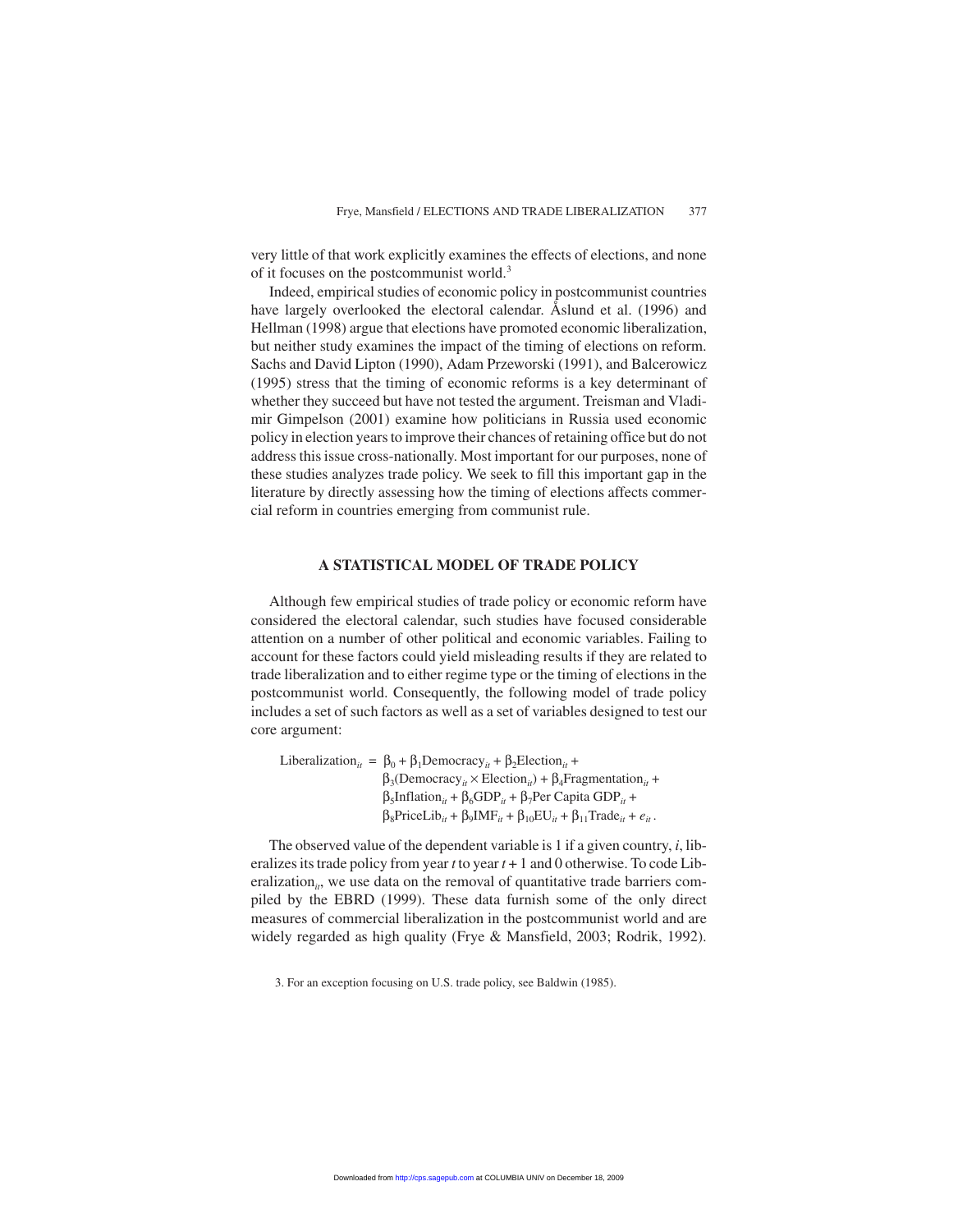very little of that work explicitly examines the effects of elections, and none of it focuses on the postcommunist world.<sup>3</sup>

Indeed, empirical studies of economic policy in postcommunist countries have largely overlooked the electoral calendar. Åslund et al. (1996) and Hellman (1998) argue that elections have promoted economic liberalization, but neither study examines the impact of the timing of elections on reform. Sachs and David Lipton (1990), Adam Przeworski (1991), and Balcerowicz (1995) stress that the timing of economic reforms is a key determinant of whether they succeed but have not tested the argument. Treisman and Vladimir Gimpelson (2001) examine how politicians in Russia used economic policy in election years to improve their chances of retaining office but do not address this issue cross-nationally. Most important for our purposes, none of these studies analyzes trade policy. We seek to fill this important gap in the literature by directly assessing how the timing of elections affects commercial reform in countries emerging from communist rule.

#### **A STATISTICAL MODEL OF TRADE POLICY**

Although few empirical studies of trade policy or economic reform have considered the electoral calendar, such studies have focused considerable attention on a number of other political and economic variables. Failing to account for these factors could yield misleading results if they are related to trade liberalization and to either regime type or the timing of elections in the postcommunist world. Consequently, the following model of trade policy includes a set of such factors as well as a set of variables designed to test our core argument:

Liberalization<sub>*it*</sub> =  $\beta_0 + \beta_1$ Democracy<sub>*it*</sub> +  $\beta_2$ Election<sub>*it*</sub> +  $\beta_3$ (Democracy<sub>*it*</sub> × Election<sub>*it*</sub></sub>) +  $\beta_4$ Fragmentation<sub>*it*</sub> +  $β_5$ Inflation<sub>*it*</sub> +  $β_6$ GDP<sub>*it*</sub></sub> +  $β_7$ Per Capita GDP<sub>*it*</sub></sub> +  $\beta_8$ PriceLib<sub>it</sub> +  $\beta_9$ IMF<sub>it</sub> +  $\beta_{10}EU_{it} + \beta_{11} Trade_{it} + e_{it}$ .

The observed value of the dependent variable is 1 if a given country, *i*, liberalizes its trade policy from year *t* to year *t* + 1 and 0 otherwise. To code Liberalization<sub>it</sub>, we use data on the removal of quantitative trade barriers compiled by the EBRD (1999). These data furnish some of the only direct measures of commercial liberalization in the postcommunist world and are widely regarded as high quality (Frye & Mansfield, 2003; Rodrik, 1992).

<sup>3.</sup> For an exception focusing on U.S. trade policy, see Baldwin (1985).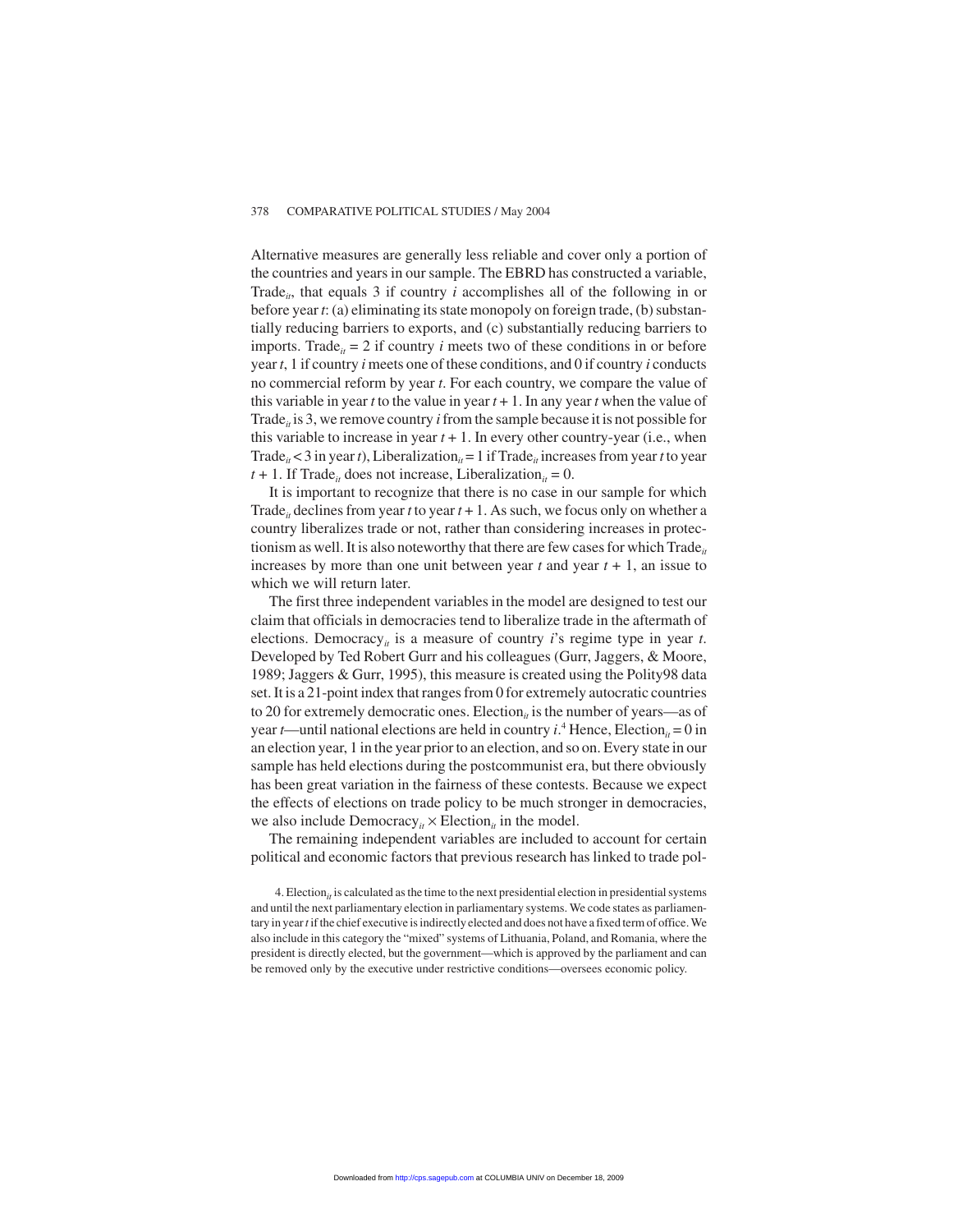Alternative measures are generally less reliable and cover only a portion of the countries and years in our sample. The EBRD has constructed a variable, Trade<sub>it</sub>, that equals 3 if country  $i$  accomplishes all of the following in or before year *t*: (a) eliminating its state monopoly on foreign trade, (b) substantially reducing barriers to exports, and (c) substantially reducing barriers to imports. Trade<sub>*it*</sub> = 2 if country *i* meets two of these conditions in or before year *t*, 1 if country *i* meets one of these conditions, and 0 if country *i* conducts no commercial reform by year *t*. For each country, we compare the value of this variable in year *t* to the value in year  $t + 1$ . In any year *t* when the value of Trade<sub>it</sub> is 3, we remove country *i* from the sample because it is not possible for this variable to increase in year  $t + 1$ . In every other country-year (i.e., when Trade<sub>it</sub> < 3 in year *t*), Liberalization<sub>it</sub> = 1 if Trade<sub>it</sub> increases from year *t* to year  $t + 1$ . If Trade<sub>*it*</sub> does not increase, Liberalization<sub>*it*</sub> = 0.

It is important to recognize that there is no case in our sample for which Trade<sub>*it*</sub> declines from year *t* to year  $t + 1$ . As such, we focus only on whether a country liberalizes trade or not, rather than considering increases in protectionism as well. It is also noteworthy that there are few cases for which  $\text{Trade}_{it}$ increases by more than one unit between year  $t$  and year  $t + 1$ , an issue to which we will return later.

The first three independent variables in the model are designed to test our claim that officials in democracies tend to liberalize trade in the aftermath of elections. Democracy*it* is a measure of country *i*'s regime type in year *t*. Developed by Ted Robert Gurr and his colleagues (Gurr, Jaggers, & Moore, 1989; Jaggers & Gurr, 1995), this measure is created using the Polity98 data set. It is a 21-point index that ranges from 0 for extremely autocratic countries to 20 for extremely democratic ones. Election<sub>it</sub> is the number of years—as of year *t*—until national elections are held in country *i*.<sup>4</sup> Hence, Election<sub>*it*</sub> = 0 in an election year, 1 in the year prior to an election, and so on. Every state in our sample has held elections during the postcommunist era, but there obviously has been great variation in the fairness of these contests. Because we expect the effects of elections on trade policy to be much stronger in democracies, we also include Democracy<sub>*it*</sub>  $\times$  Election<sub>*it*</sub> in the model.

The remaining independent variables are included to account for certain political and economic factors that previous research has linked to trade pol-

4. Election<sub>*it*</sub> is calculated as the time to the next presidential election in presidential systems and until the next parliamentary election in parliamentary systems. We code states as parliamentary in year*t* if the chief executive is indirectly elected and does not have a fixed term of office. We also include in this category the "mixed" systems of Lithuania, Poland, and Romania, where the president is directly elected, but the government—which is approved by the parliament and can be removed only by the executive under restrictive conditions—oversees economic policy.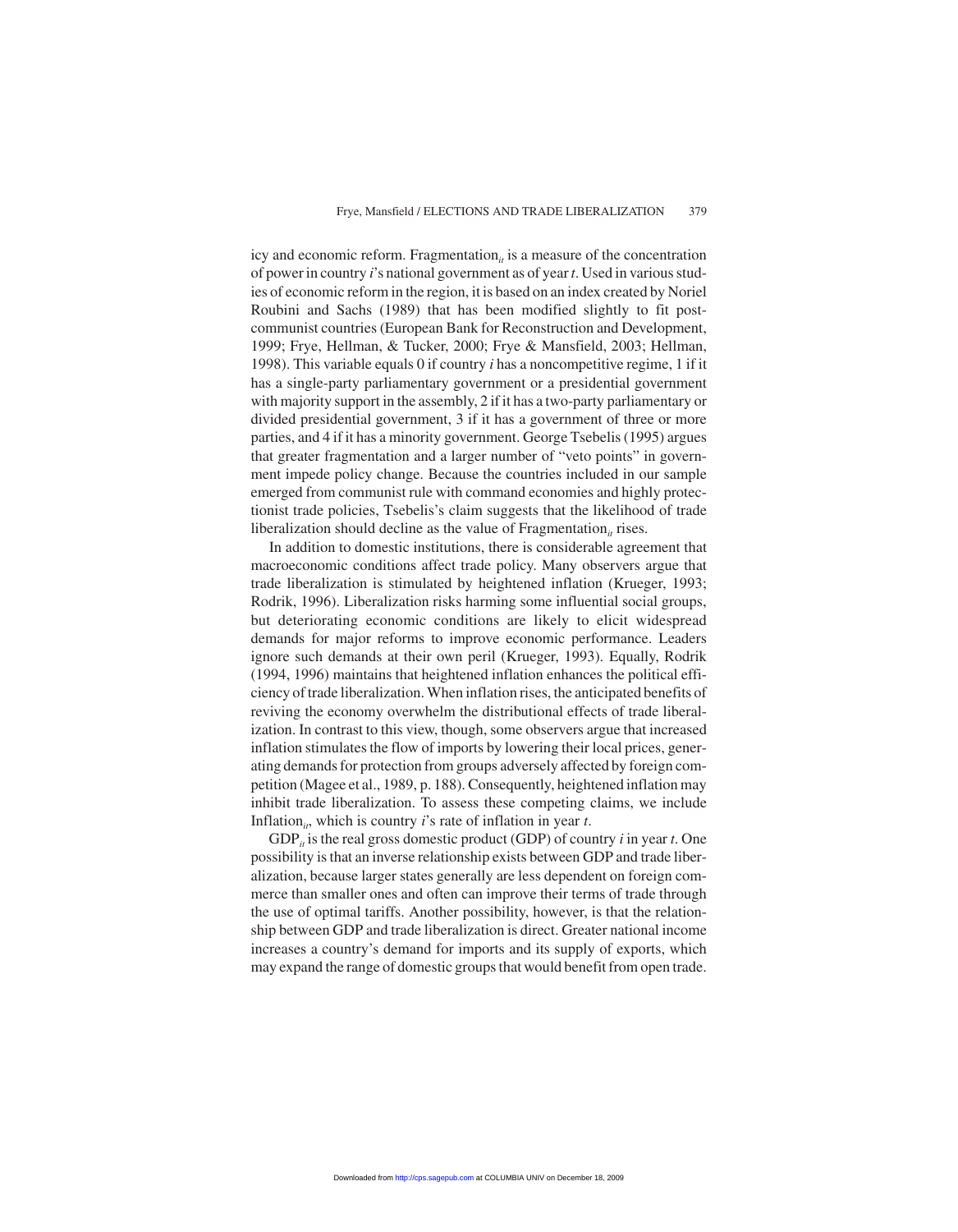icy and economic reform. Fragmentation<sub>it</sub> is a measure of the concentration of power in country *i*'s national government as of year*t*. Used in various studies of economic reform in the region, it is based on an index created by Noriel Roubini and Sachs (1989) that has been modified slightly to fit postcommunist countries (European Bank for Reconstruction and Development, 1999; Frye, Hellman, & Tucker, 2000; Frye & Mansfield, 2003; Hellman, 1998). This variable equals 0 if country *i* has a noncompetitive regime, 1 if it has a single-party parliamentary government or a presidential government with majority support in the assembly, 2 if it has a two-party parliamentary or divided presidential government, 3 if it has a government of three or more parties, and 4 if it has a minority government. George Tsebelis (1995) argues that greater fragmentation and a larger number of "veto points" in government impede policy change. Because the countries included in our sample emerged from communist rule with command economies and highly protectionist trade policies, Tsebelis's claim suggests that the likelihood of trade liberalization should decline as the value of Fragmentation<sub>*it*</sub> rises.

In addition to domestic institutions, there is considerable agreement that macroeconomic conditions affect trade policy. Many observers argue that trade liberalization is stimulated by heightened inflation (Krueger, 1993; Rodrik, 1996). Liberalization risks harming some influential social groups, but deteriorating economic conditions are likely to elicit widespread demands for major reforms to improve economic performance. Leaders ignore such demands at their own peril (Krueger, 1993). Equally, Rodrik (1994, 1996) maintains that heightened inflation enhances the political efficiency of trade liberalization. When inflation rises, the anticipated benefits of reviving the economy overwhelm the distributional effects of trade liberalization. In contrast to this view, though, some observers argue that increased inflation stimulates the flow of imports by lowering their local prices, generating demands for protection from groups adversely affected by foreign competition (Magee et al., 1989, p. 188). Consequently, heightened inflation may inhibit trade liberalization. To assess these competing claims, we include Inflation<sub>*it*</sub>, which is country *i*'s rate of inflation in year *t*.

GDP<sub>*it*</sub> is the real gross domestic product (GDP) of country *i* in year *t*. One possibility is that an inverse relationship exists between GDP and trade liberalization, because larger states generally are less dependent on foreign commerce than smaller ones and often can improve their terms of trade through the use of optimal tariffs. Another possibility, however, is that the relationship between GDP and trade liberalization is direct. Greater national income increases a country's demand for imports and its supply of exports, which may expand the range of domestic groups that would benefit from open trade.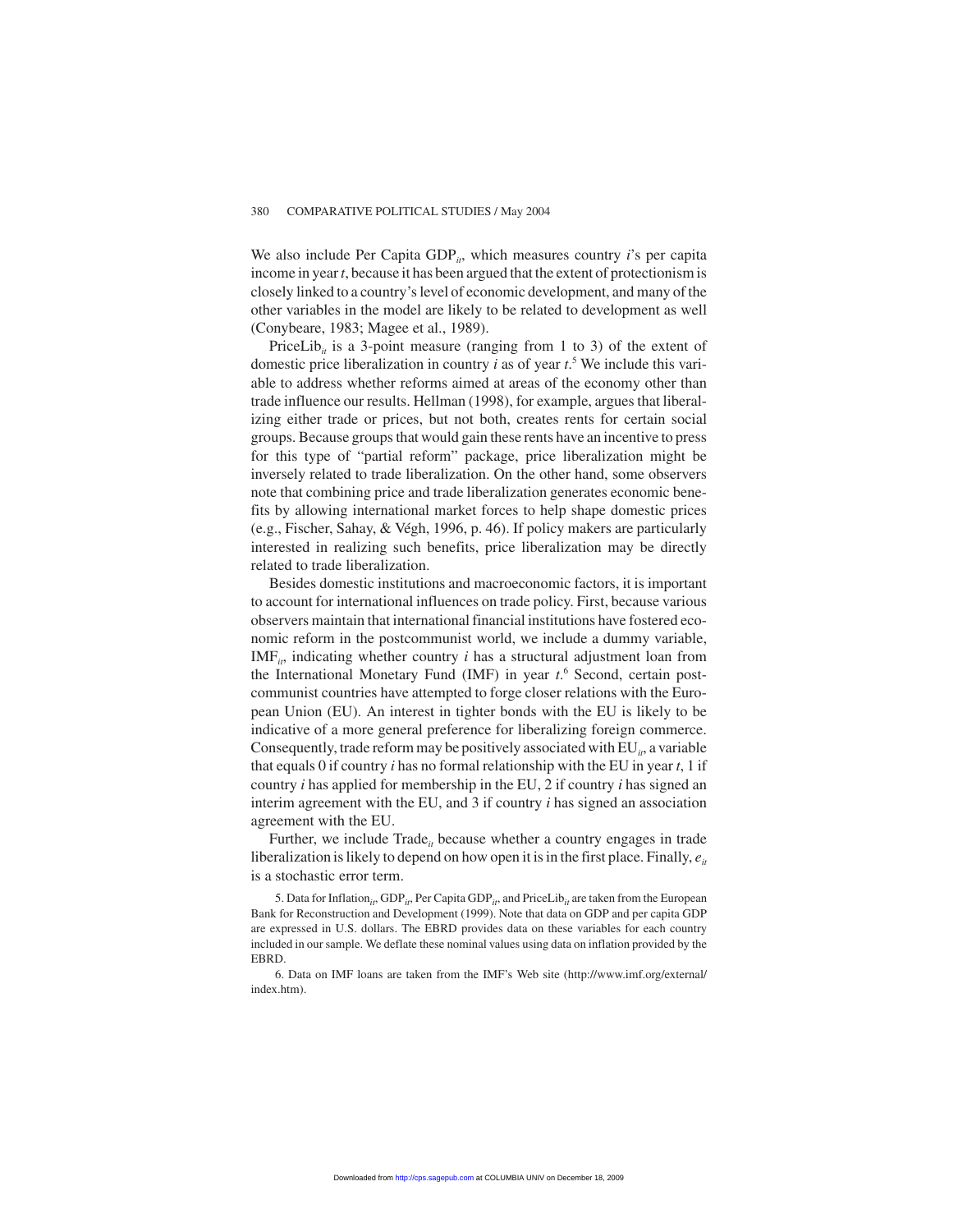We also include Per Capita GDP<sub>it</sub>, which measures country *i*'s per capita income in year*t*, because it has been argued that the extent of protectionism is closely linked to a country's level of economic development, and many of the other variables in the model are likely to be related to development as well (Conybeare, 1983; Magee et al., 1989).

PriceLib<sub>it</sub> is a 3-point measure (ranging from 1 to 3) of the extent of domestic price liberalization in country *i* as of year *t*. <sup>5</sup> We include this variable to address whether reforms aimed at areas of the economy other than trade influence our results. Hellman (1998), for example, argues that liberalizing either trade or prices, but not both, creates rents for certain social groups. Because groups that would gain these rents have an incentive to press for this type of "partial reform" package, price liberalization might be inversely related to trade liberalization. On the other hand, some observers note that combining price and trade liberalization generates economic benefits by allowing international market forces to help shape domestic prices (e.g., Fischer, Sahay, & Végh, 1996, p. 46). If policy makers are particularly interested in realizing such benefits, price liberalization may be directly related to trade liberalization.

Besides domestic institutions and macroeconomic factors, it is important to account for international influences on trade policy. First, because various observers maintain that international financial institutions have fostered economic reform in the postcommunist world, we include a dummy variable,  $IMF<sub>it</sub>$ , indicating whether country *i* has a structural adjustment loan from the International Monetary Fund (IMF) in year *t*. <sup>6</sup> Second, certain postcommunist countries have attempted to forge closer relations with the European Union (EU). An interest in tighter bonds with the EU is likely to be indicative of a more general preference for liberalizing foreign commerce. Consequently, trade reform may be positively associated with EU<sub>it</sub>, a variable that equals 0 if country *i* has no formal relationship with the EU in year *t*, 1 if country *i* has applied for membership in the EU, 2 if country *i* has signed an interim agreement with the EU, and 3 if country *i* has signed an association agreement with the EU.

Further, we include Trade<sub>it</sub> because whether a country engages in trade liberalization is likely to depend on how open it is in the first place. Finally,  $e_{it}$ is a stochastic error term.

5. Data for Inflation<sub>it</sub>, GDP<sub>it</sub>, Per Capita GDP<sub>it</sub>, and PriceLib<sub>it</sub> are taken from the European Bank for Reconstruction and Development (1999). Note that data on GDP and per capita GDP are expressed in U.S. dollars. The EBRD provides data on these variables for each country included in our sample. We deflate these nominal values using data on inflation provided by the EBRD.

6. Data on IMF loans are taken from the IMF's Web site (http://www.imf.org/external/ index.htm).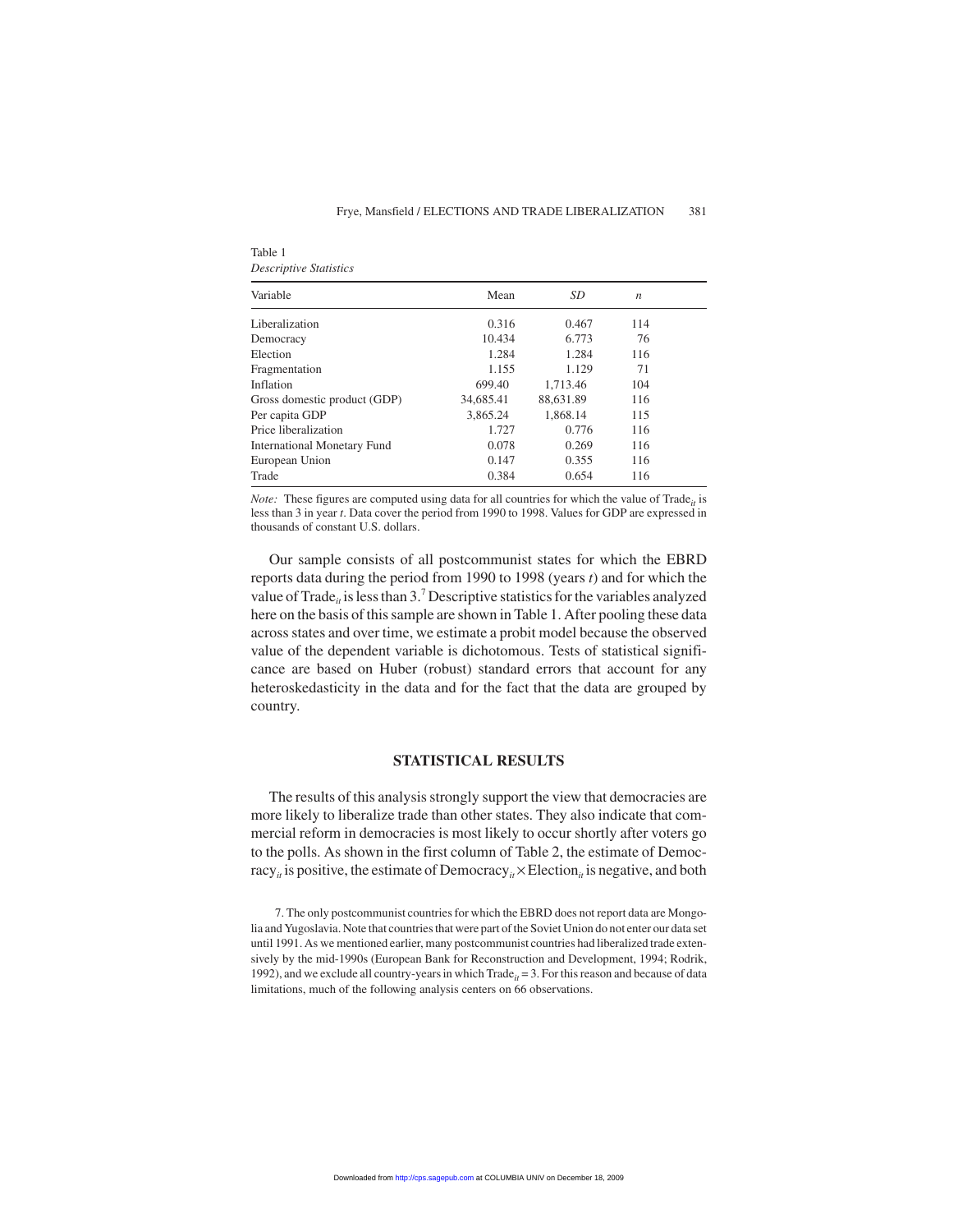| Variable                     | Mean      | SD        | $\boldsymbol{n}$ |  |
|------------------------------|-----------|-----------|------------------|--|
| Liberalization               | 0.316     | 0.467     | 114              |  |
| Democracy                    | 10.434    | 6.773     | 76               |  |
| Election                     | 1.284     | 1.284     | 116              |  |
| Fragmentation                | 1.155     | 1.129     | 71               |  |
| Inflation                    | 699.40    | 1.713.46  | 104              |  |
| Gross domestic product (GDP) | 34,685.41 | 88,631.89 | 116              |  |
| Per capita GDP               | 3.865.24  | 1.868.14  | 115              |  |
| Price liberalization         | 1.727     | 0.776     | 116              |  |
| International Monetary Fund  | 0.078     | 0.269     | 116              |  |
| European Union               | 0.147     | 0.355     | 116              |  |
| Trade                        | 0.384     | 0.654     | 116              |  |
|                              |           |           |                  |  |

*Descriptive Statistics*

Table 1

*Note:* These figures are computed using data for all countries for which the value of Trade<sub>it</sub> is less than 3 in year *t*. Data cover the period from 1990 to 1998. Values for GDP are expressed in thousands of constant U.S. dollars.

Our sample consists of all postcommunist states for which the EBRD reports data during the period from 1990 to 1998 (years *t*) and for which the value of Trade<sub>*it*</sub> is less than 3.<sup>7</sup> Descriptive statistics for the variables analyzed here on the basis of this sample are shown in Table 1. After pooling these data across states and over time, we estimate a probit model because the observed value of the dependent variable is dichotomous. Tests of statistical significance are based on Huber (robust) standard errors that account for any heteroskedasticity in the data and for the fact that the data are grouped by country.

#### **STATISTICAL RESULTS**

The results of this analysis strongly support the view that democracies are more likely to liberalize trade than other states. They also indicate that commercial reform in democracies is most likely to occur shortly after voters go to the polls. As shown in the first column of Table 2, the estimate of Democracy<sub>*it*</sub> is positive, the estimate of Democracy<sub>*it*</sub>  $\times$  Election<sub>*it*</sub> is negative, and both

<sup>7.</sup> The only postcommunist countries for which the EBRD does not report data are Mongolia and Yugoslavia. Note that countries that were part of the Soviet Union do not enter our data set until 1991. As we mentioned earlier, many postcommunist countries had liberalized trade extensively by the mid-1990s (European Bank for Reconstruction and Development, 1994; Rodrik, 1992), and we exclude all country-years in which  $\text{Trade}_{it} = 3$ . For this reason and because of data limitations, much of the following analysis centers on 66 observations.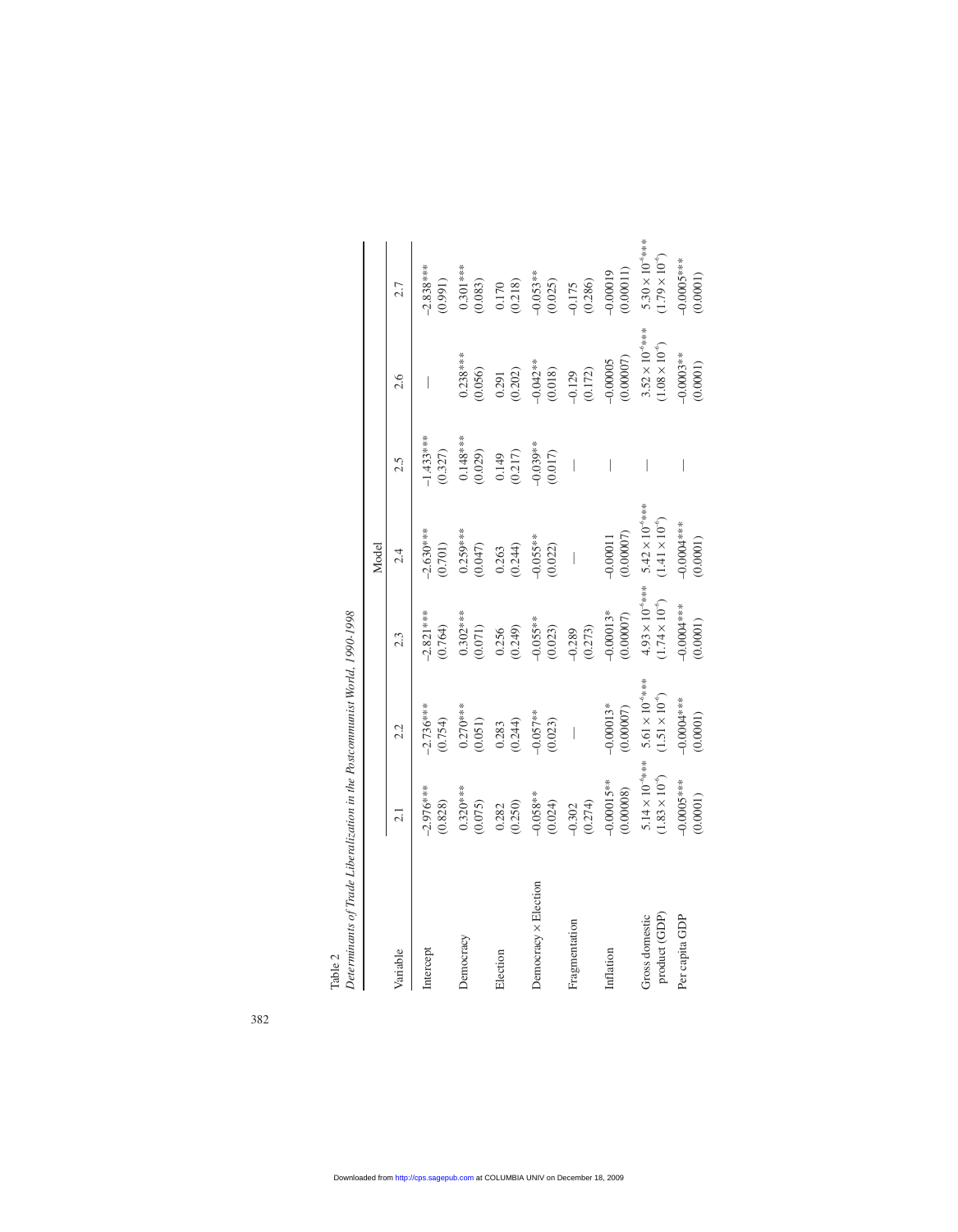| $\sim$ . The continuous contract the contract of the continuous contract of $\sim$ 1.000 $\sim$ 1.000 $\sim$ 1.000 $\sim$ 1.000 $\sim$ 1.000 $\sim$ 1.000 $\sim$ 1.000 $\sim$ 1.000 $\sim$ 1.000 $\sim$ 1.000 $\sim$ 1.000 $\sim$ 1.000 $\sim$ 1.000 $\sim$ |                                                      |                                                      |                                                      |                                                      |                          |                                                    |                                                      |
|-------------------------------------------------------------------------------------------------------------------------------------------------------------------------------------------------------------------------------------------------------------|------------------------------------------------------|------------------------------------------------------|------------------------------------------------------|------------------------------------------------------|--------------------------|----------------------------------------------------|------------------------------------------------------|
|                                                                                                                                                                                                                                                             |                                                      |                                                      |                                                      | Model                                                |                          |                                                    |                                                      |
| Variable                                                                                                                                                                                                                                                    | 2.1                                                  | 2.2                                                  | 2.3                                                  | 2.4                                                  | 2.5                      | 2.6                                                | 2.7                                                  |
| Intercept                                                                                                                                                                                                                                                   | $2.976***$<br>(0.828)                                | $2.736***$<br>(0.754)                                | $2.821***$<br>(0.764)                                | $-2.630***$<br>(0.701)                               | $1.433***$<br>(0.327)    |                                                    | $-2.838***$<br>(0.991)                               |
| Democracy                                                                                                                                                                                                                                                   | $0.320***$<br>(0.075)                                | $0.270***$<br>(0.051)                                | $0.302***$<br>(0.071)                                | $0.259***$<br>(0.047)                                | $0.148***$<br>(0.029)    | $0.238***$<br>0.056                                | $0.301***$<br>(0.083)                                |
| Election                                                                                                                                                                                                                                                    | (0.250)<br>0.282                                     | (0.244)<br>0.283                                     | (0.249)<br>0.256                                     | (0.244)<br>0.263                                     | (0.217)<br>0.149         | (0.202)<br>0.291                                   | (0.218)<br>0.170                                     |
| Democracy × Election                                                                                                                                                                                                                                        | $-0.058**$<br>(0.024)                                | $-0.057**$<br>(0.023)                                | $-0.055**$<br>(0.023)                                | $-0.055**$<br>(0.022)                                | $-0.039**$<br>(0.017)    | $-0.042**$<br>(0.018)                              | $-0.053**$<br>(0.025)                                |
| Fragmentation                                                                                                                                                                                                                                               | (0.274)<br>0.302                                     | $\bigg $                                             | (0.273)<br>$-0.289$                                  | $\begin{array}{c} \hline \end{array}$                | $\overline{\phantom{a}}$ | (0.172)<br>$-0.129$                                | (0.286)<br>$-0.175$                                  |
| Inflation                                                                                                                                                                                                                                                   | $-0.00015***$<br>(0.00008)                           | $-0.00013*$<br>(0.00007)                             | $-0.00013*$<br>(0.00007)                             | (0.00007)<br>$-0.00011$                              | I                        | (0.00007)<br>$-0.00005$                            | (0.00011)<br>$-0.00019$                              |
| product (GDP)<br>Gross domestic                                                                                                                                                                                                                             | $5.14 \times 10^{-6}$ ***<br>$(1.83 \times 10^{-6})$ | $5.61 \times 10^{-6}$ ***<br>$(1.51 \times 10^{-6})$ | $4.93 \times 10^{-6}$ ***<br>$(1.74 \times 10^{-6})$ | $5.42 \times 10^{-6}$ ***<br>$(1.41 \times 10^{-6})$ |                          | $3.52 \times 10^{-6}$ ***<br>$1.08 \times 10^{-6}$ | $5.30 \times 10^{-6}$ ***<br>$(1.79 \times 10^{-6})$ |
| Per capita GDP                                                                                                                                                                                                                                              | $-0.0005***$<br>(0.0001)                             | $-0.0004$ **<br>(0.0001)                             | $-0.0004$ ***<br>(0.0001)                            | $-0.0000$<br>(0.0001)                                |                          | $-0.0003**$<br>(0.0001)                            | $-0.0005***$<br>(0.0001)                             |

Table 2<br>Determinants of Trade Liberalization in the Postcommunist World, 1990-1998 *Determinants of Trade Liberalization in the Postcommunist World, 1990-1998*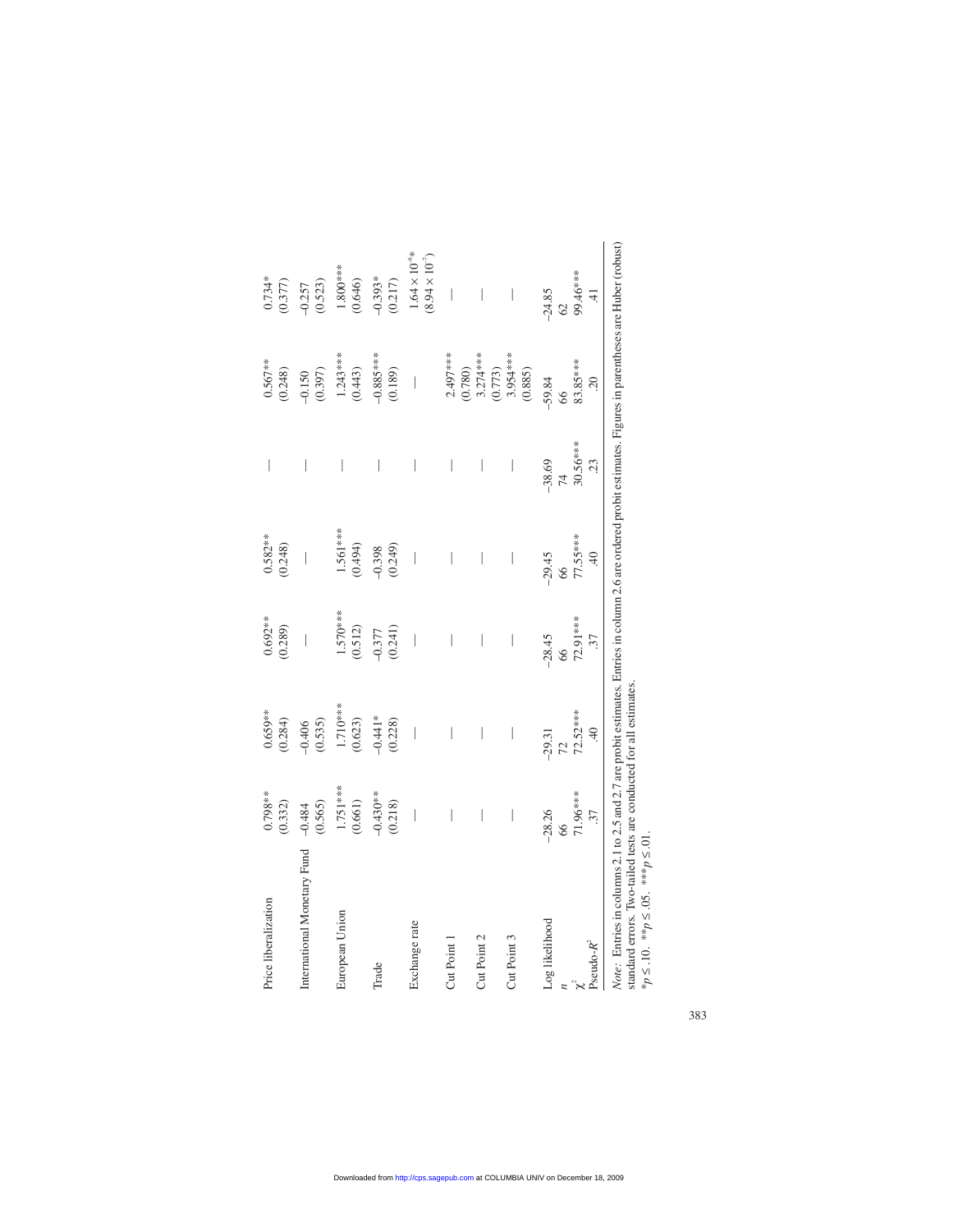| Price liberalization                                                                                                                                            | $0.798**$<br>(0.332)  | $0.659**$<br>(0.284)                  | $0.692**$<br>(0.289)                  | $0.582***$<br>(0.248)   | $\overline{\phantom{a}}$ | $0.567***$<br>(0.248)                 | $0.734*$<br>(0.377)                              |
|-----------------------------------------------------------------------------------------------------------------------------------------------------------------|-----------------------|---------------------------------------|---------------------------------------|-------------------------|--------------------------|---------------------------------------|--------------------------------------------------|
| International Monetary Fund                                                                                                                                     | (0.565)<br>$-0.484$   | (0.535)<br>$-0.406$                   | $\begin{array}{c} \hline \end{array}$ | $\bigg $                | $\overline{\phantom{a}}$ | (0.397)<br>$-0.150$                   | (0.523)<br>$-0.257$                              |
| European Union                                                                                                                                                  | $1.751***$<br>(0.661) | 1.710 ***<br>(0.623)                  | $1.570***$<br>(0.512)                 | $1.561***$<br>(0.494)   | $\overline{\phantom{a}}$ | $1.243***$<br>(0.443)                 | $1.800***$<br>(0.646)                            |
| Trade                                                                                                                                                           | $-0.430**$<br>(0.218) | $-0.441*$<br>(0.228)                  | (0.241)<br>$-0.377$                   | (0.249)<br>$-0.398$     | $\overline{\phantom{a}}$ | $-0.885***$<br>(0.189)                | $-0.393*$<br>(0.217)                             |
| Exchange rate                                                                                                                                                   | $\bigg $              | $\overline{\phantom{a}}$              | $\bigg $                              | $\bigg $                | $\overline{\phantom{a}}$ | $\begin{array}{c} \hline \end{array}$ | $1.64\times10^{-6}\ast$<br>$(8.94\times10^{-7})$ |
| Cut Point 1                                                                                                                                                     | I                     | $\overline{\phantom{a}}$              | $\overline{\phantom{a}}$              | I                       | $\overline{\phantom{a}}$ | $2.497***$<br>(0.780)                 | $\begin{array}{c} \hline \end{array}$            |
| Cut Point 2                                                                                                                                                     | I                     | $\begin{array}{c} \hline \end{array}$ | $\overline{\phantom{a}}$              | I                       | $\bigg $                 | $3.274***$<br>(0.773)                 | $\begin{array}{c} \hline \end{array}$            |
| Cut Point 3                                                                                                                                                     | $\bigg $              | $\overline{\phantom{a}}$              | I                                     | I                       | $\bigg $                 | $3.954***$<br>(0.885)                 | $\begin{array}{c} \hline \end{array}$            |
| Log likelihood                                                                                                                                                  | $-28.26$<br>8         | $-29.31$<br>72                        | $-28.45$<br>66                        | $-29.45$<br>66          | $-38.69$<br>74           | $-59.84$<br>66                        | $-24.85$<br>62                                   |
| Pseudo- $R^2$<br>$\tilde{\chi}$                                                                                                                                 | 71.96***<br>37        | 72.52***<br>$\ddot{=}$                | 72.91***<br>37                        | 77.55 ***<br>$\ddot{=}$ | 30.56***<br>23           | 83.85***<br>$\overline{5}$            | 99.46***<br>$\pm$                                |
| Note: Entries in columns 2.1 to 2.5 and 2.7 are probit estimates. Entries in column 2.6 are ordered probit estimates. Figures in parentheses are Huber (robust) |                       |                                       |                                       |                         |                          |                                       |                                                  |

| ust'<br>Ì<br>١<br>Ç<br>ï<br>į<br>i<br>i<br>֦<br>١<br>١<br>dar<br>i<br>Ξ<br>l<br>í<br>į<br>I<br>I<br>i<br>ś<br>֚֚֡֡֡֡֡<br>ś<br>i<br>l<br>i<br>İ<br>i<br>ı<br>í<br>í<br>i<br>֠<br>ļ<br>i<br>ł<br>ì<br>ı<br>j<br>i<br>,<br>í<br>I | j<br>֚֚֚֚֚֕֡֡<br>ļ<br>í<br>l                                                                          |
|--------------------------------------------------------------------------------------------------------------------------------------------------------------------------------------------------------------------------------|-------------------------------------------------------------------------------------------------------|
| ֖֪ׅ֖֚֚֚֚֚֚֚֚֚֚֚֚֚֚֚֚֚֡֕֡֡֡֡֡֡֡֡֡֬֝֬֝֬֝֬֝֬֝֬֝֬<br>ı<br>$\vdots$<br>ĭ<br>3<br>l<br>I<br>Ì<br>$\ddot{\phantom{a}}$<br>'ote<br>è<br>ú                                                                                              | j<br>ì<br>ì<br>I<br>Ì<br>è<br>l<br>ŀ<br>i<br>I<br>j<br>ξ<br>i<br>$\mathcal{L}_{\mathbf{a}}$<br>j<br>t |

 $*_{p} \le .10.$   $*_{p} \le .05.$   $*_{p} \le .01.$ \**p* ≤ .10. \*\**p* ≤ .05. \*\*\**p* ≤ .01.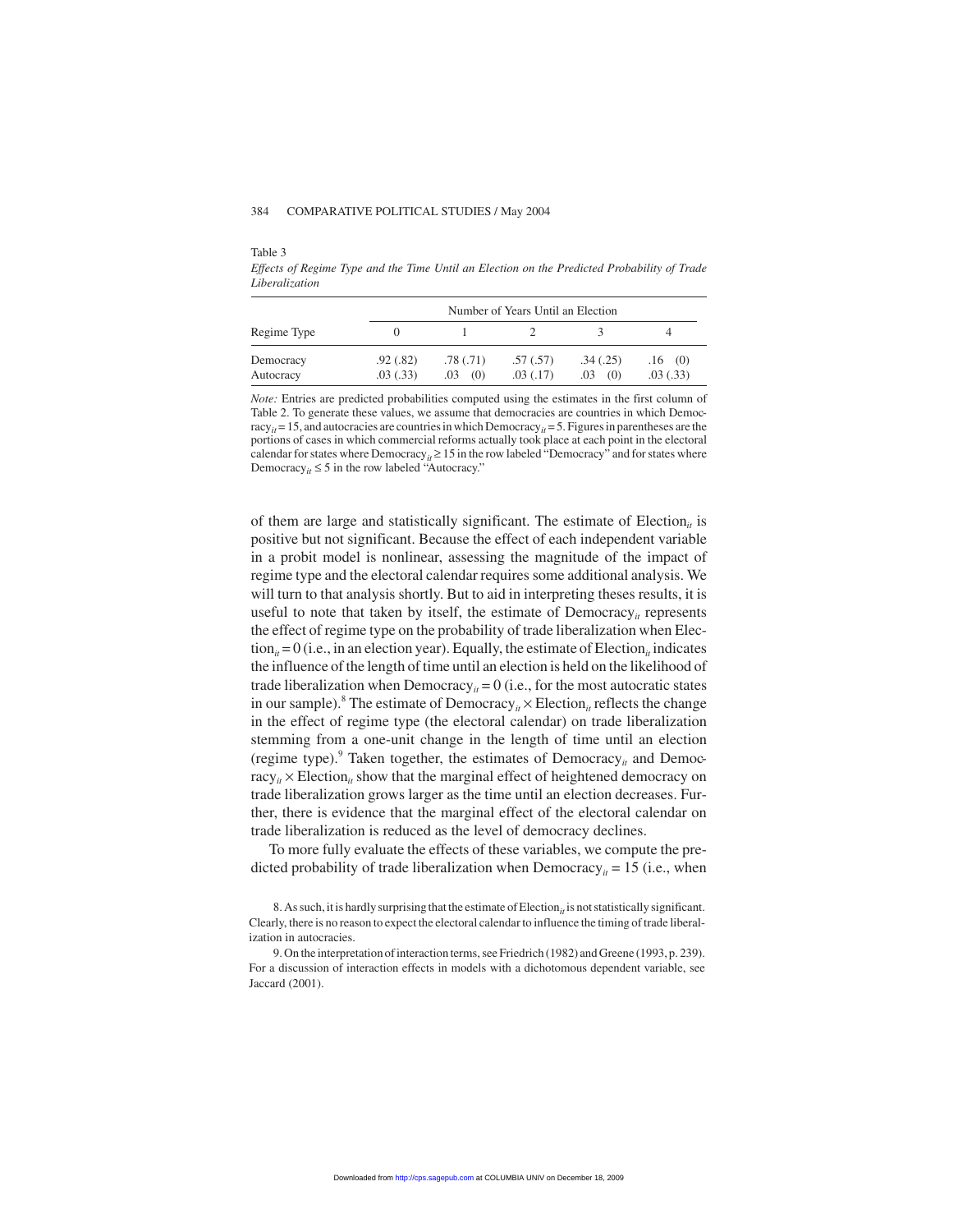Table 3

*Effects of Regime Type and the Time Until an Election on the Predicted Probability of Trade Liberalization*

|                        |                       |                         | Number of Years Until an Election |                        |                     |
|------------------------|-----------------------|-------------------------|-----------------------------------|------------------------|---------------------|
| Regime Type            |                       |                         |                                   |                        |                     |
| Democracy<br>Autocracy | .92(.82)<br>.03(0.33) | .78(0.71)<br>(0)<br>.03 | .57(.57)<br>.03(0.17)             | .34(.25)<br>.03<br>(0) | .16(0)<br>.03(0.33) |

*Note:* Entries are predicted probabilities computed using the estimates in the first column of Table 2. To generate these values, we assume that democracies are countries in which Democracy<sub>it</sub> = 15, and autocracies are countries in which Democracy<sub>it</sub> = 5. Figures in parentheses are the portions of cases in which commercial reforms actually took place at each point in the electoral calendar for states where Democracy<sub>*it*</sub>  $\geq$  15 in the row labeled "Democracy" and for states where Democracy<sub>*it*</sub>  $\leq$  5 in the row labeled "Autocracy."

of them are large and statistically significant. The estimate of  $Electronic$  is positive but not significant. Because the effect of each independent variable in a probit model is nonlinear, assessing the magnitude of the impact of regime type and the electoral calendar requires some additional analysis. We will turn to that analysis shortly. But to aid in interpreting theses results, it is useful to note that taken by itself, the estimate of  $Democracy<sub>it</sub>$  represents the effect of regime type on the probability of trade liberalization when Elec- $\text{tion}_{it} = 0$  (i.e., in an election year). Equally, the estimate of Election<sub>it</sub> indicates the influence of the length of time until an election is held on the likelihood of trade liberalization when Democracy<sub>*it*</sub> = 0 (i.e., for the most autocratic states in our sample).<sup>8</sup> The estimate of Democracy<sub>*it*</sub>  $\times$  Election<sub>*it*</sub> reflects the change in the effect of regime type (the electoral calendar) on trade liberalization stemming from a one-unit change in the length of time until an election (regime type). $9$  Taken together, the estimates of Democracy<sub>*it*</sub> and Democ $r_{i} \times$  Election<sub>*it*</sub> show that the marginal effect of heightened democracy on trade liberalization grows larger as the time until an election decreases. Further, there is evidence that the marginal effect of the electoral calendar on trade liberalization is reduced as the level of democracy declines.

To more fully evaluate the effects of these variables, we compute the predicted probability of trade liberalization when Democracy<sub>it</sub> = 15 (i.e., when

<sup>8.</sup> As such, it is hardly surprising that the estimate of  $Election<sub>it</sub>$  is not statistically significant. Clearly, there is no reason to expect the electoral calendar to influence the timing of trade liberalization in autocracies.

<sup>9.</sup> On the interpretation of interaction terms, see Friedrich (1982) and Greene (1993, p. 239). For a discussion of interaction effects in models with a dichotomous dependent variable, see Jaccard (2001).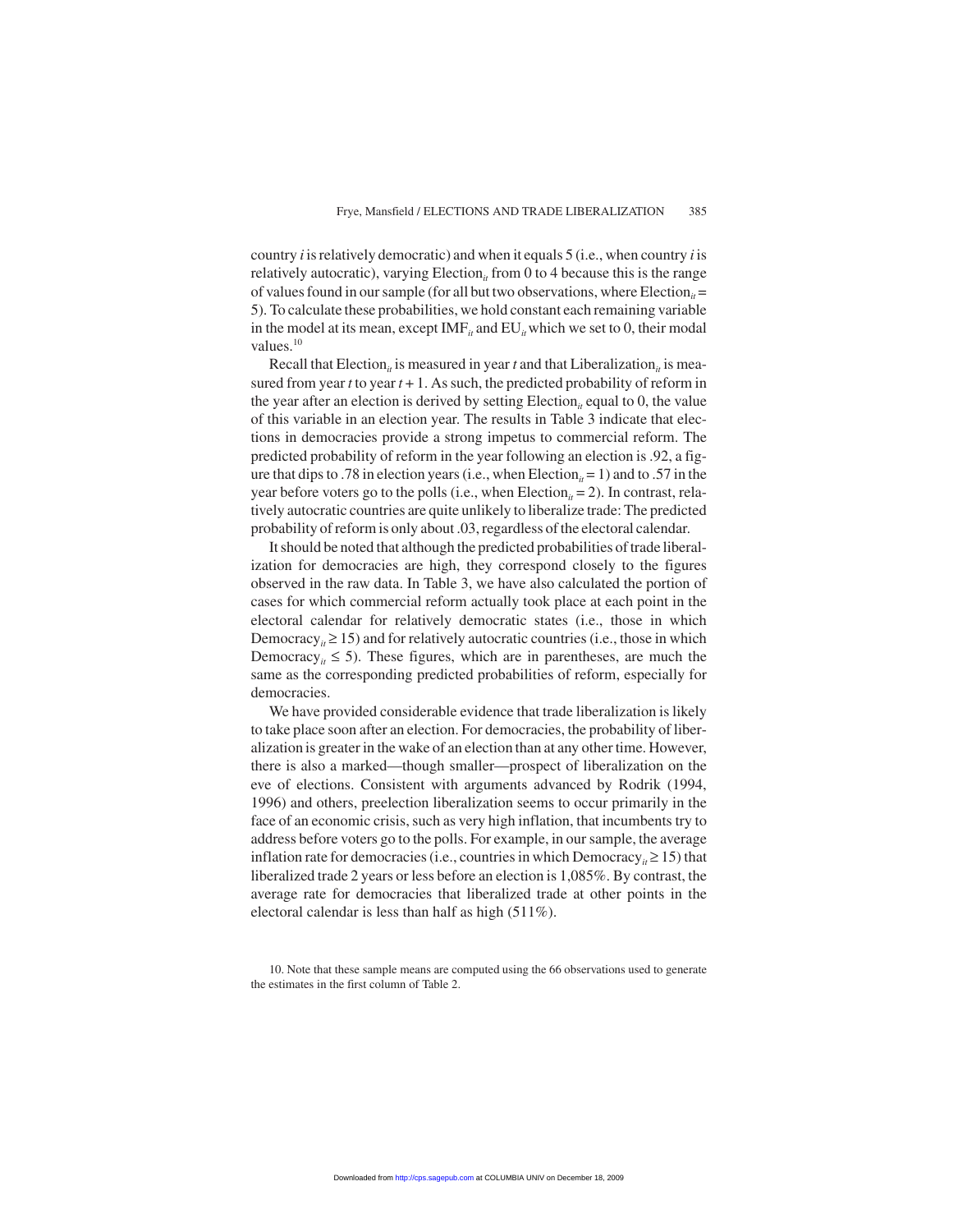country *i* is relatively democratic) and when it equals 5 (i.e., when country *i* is relatively autocratic), varying Election<sub>*it*</sub> from 0 to 4 because this is the range of values found in our sample (for all but two observations, where Election<sub>it</sub> = 5). To calculate these probabilities, we hold constant each remaining variable in the model at its mean, except  $IMF_i$  and  $EU_i$  which we set to 0, their modal values. $10$ 

Recall that Election<sub>it</sub> is measured in year *t* and that Liberalization<sub>it</sub> is measured from year  $t$  to year  $t + 1$ . As such, the predicted probability of reform in the year after an election is derived by setting Election<sub>it</sub> equal to 0, the value of this variable in an election year. The results in Table 3 indicate that elections in democracies provide a strong impetus to commercial reform. The predicted probability of reform in the year following an election is .92, a figure that dips to .78 in election years (i.e., when Election<sub>it</sub> = 1) and to .57 in the year before voters go to the polls (i.e., when Election<sub>it</sub> = 2). In contrast, relatively autocratic countries are quite unlikely to liberalize trade: The predicted probability of reform is only about .03, regardless of the electoral calendar.

It should be noted that although the predicted probabilities of trade liberalization for democracies are high, they correspond closely to the figures observed in the raw data. In Table 3, we have also calculated the portion of cases for which commercial reform actually took place at each point in the electoral calendar for relatively democratic states (i.e., those in which Democracy<sub>*it*</sub>  $\geq$  15) and for relatively autocratic countries (i.e., those in which Democracy<sub>*it*</sub>  $\leq$  5). These figures, which are in parentheses, are much the same as the corresponding predicted probabilities of reform, especially for democracies.

We have provided considerable evidence that trade liberalization is likely to take place soon after an election. For democracies, the probability of liberalization is greater in the wake of an election than at any other time. However, there is also a marked—though smaller—prospect of liberalization on the eve of elections. Consistent with arguments advanced by Rodrik (1994, 1996) and others, preelection liberalization seems to occur primarily in the face of an economic crisis, such as very high inflation, that incumbents try to address before voters go to the polls. For example, in our sample, the average inflation rate for democracies (i.e., countries in which Democracy<sub>*it*</sub>  $\geq$  15) that liberalized trade 2 years or less before an election is 1,085%. By contrast, the average rate for democracies that liberalized trade at other points in the electoral calendar is less than half as high (511%).

10. Note that these sample means are computed using the 66 observations used to generate the estimates in the first column of Table 2.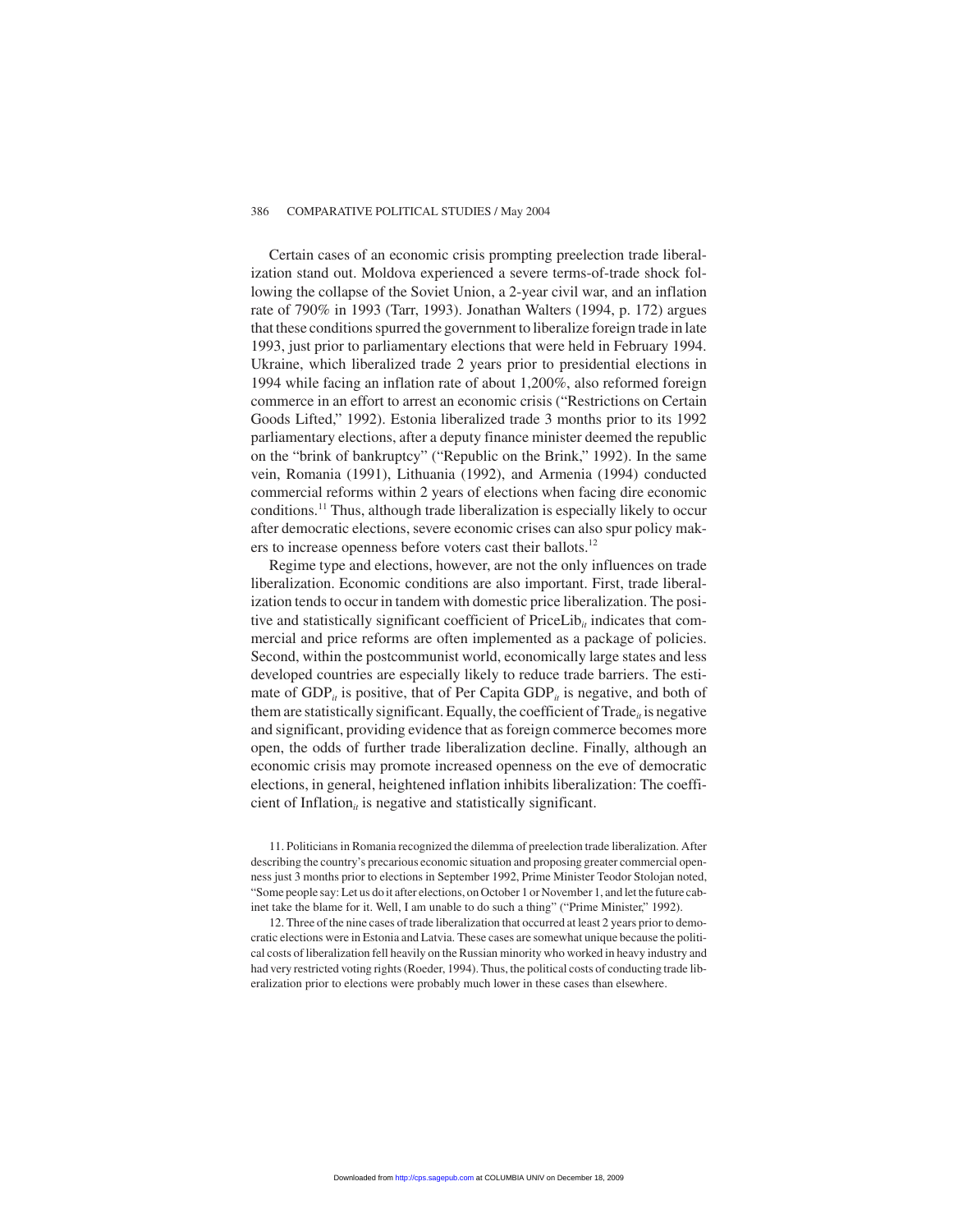Certain cases of an economic crisis prompting preelection trade liberalization stand out. Moldova experienced a severe terms-of-trade shock following the collapse of the Soviet Union, a 2-year civil war, and an inflation rate of 790% in 1993 (Tarr, 1993). Jonathan Walters (1994, p. 172) argues that these conditions spurred the government to liberalize foreign trade in late 1993, just prior to parliamentary elections that were held in February 1994. Ukraine, which liberalized trade 2 years prior to presidential elections in 1994 while facing an inflation rate of about 1,200%, also reformed foreign commerce in an effort to arrest an economic crisis ("Restrictions on Certain Goods Lifted," 1992). Estonia liberalized trade 3 months prior to its 1992 parliamentary elections, after a deputy finance minister deemed the republic on the "brink of bankruptcy" ("Republic on the Brink," 1992). In the same vein, Romania (1991), Lithuania (1992), and Armenia (1994) conducted commercial reforms within 2 years of elections when facing dire economic conditions.11 Thus, although trade liberalization is especially likely to occur after democratic elections, severe economic crises can also spur policy makers to increase openness before voters cast their ballots.<sup>12</sup>

Regime type and elections, however, are not the only influences on trade liberalization. Economic conditions are also important. First, trade liberalization tends to occur in tandem with domestic price liberalization. The positive and statistically significant coefficient of  $PriceLib<sub>it</sub>$  indicates that commercial and price reforms are often implemented as a package of policies. Second, within the postcommunist world, economically large states and less developed countries are especially likely to reduce trade barriers. The estimate of  $GDP_{it}$  is positive, that of Per Capita  $GDP_{it}$  is negative, and both of them are statistically significant. Equally, the coefficient of Trade<sub>it</sub> is negative and significant, providing evidence that as foreign commerce becomes more open, the odds of further trade liberalization decline. Finally, although an economic crisis may promote increased openness on the eve of democratic elections, in general, heightened inflation inhibits liberalization: The coefficient of Inflation<sub>*it*</sub> is negative and statistically significant.

11. Politicians in Romania recognized the dilemma of preelection trade liberalization. After describing the country's precarious economic situation and proposing greater commercial openness just 3 months prior to elections in September 1992, Prime Minister Teodor Stolojan noted, "Some people say: Let us do it after elections, on October 1 or November 1, and let the future cabinet take the blame for it. Well, I am unable to do such a thing" ("Prime Minister," 1992).

12. Three of the nine cases of trade liberalization that occurred at least 2 years prior to democratic elections were in Estonia and Latvia. These cases are somewhat unique because the political costs of liberalization fell heavily on the Russian minority who worked in heavy industry and had very restricted voting rights (Roeder, 1994). Thus, the political costs of conducting trade liberalization prior to elections were probably much lower in these cases than elsewhere.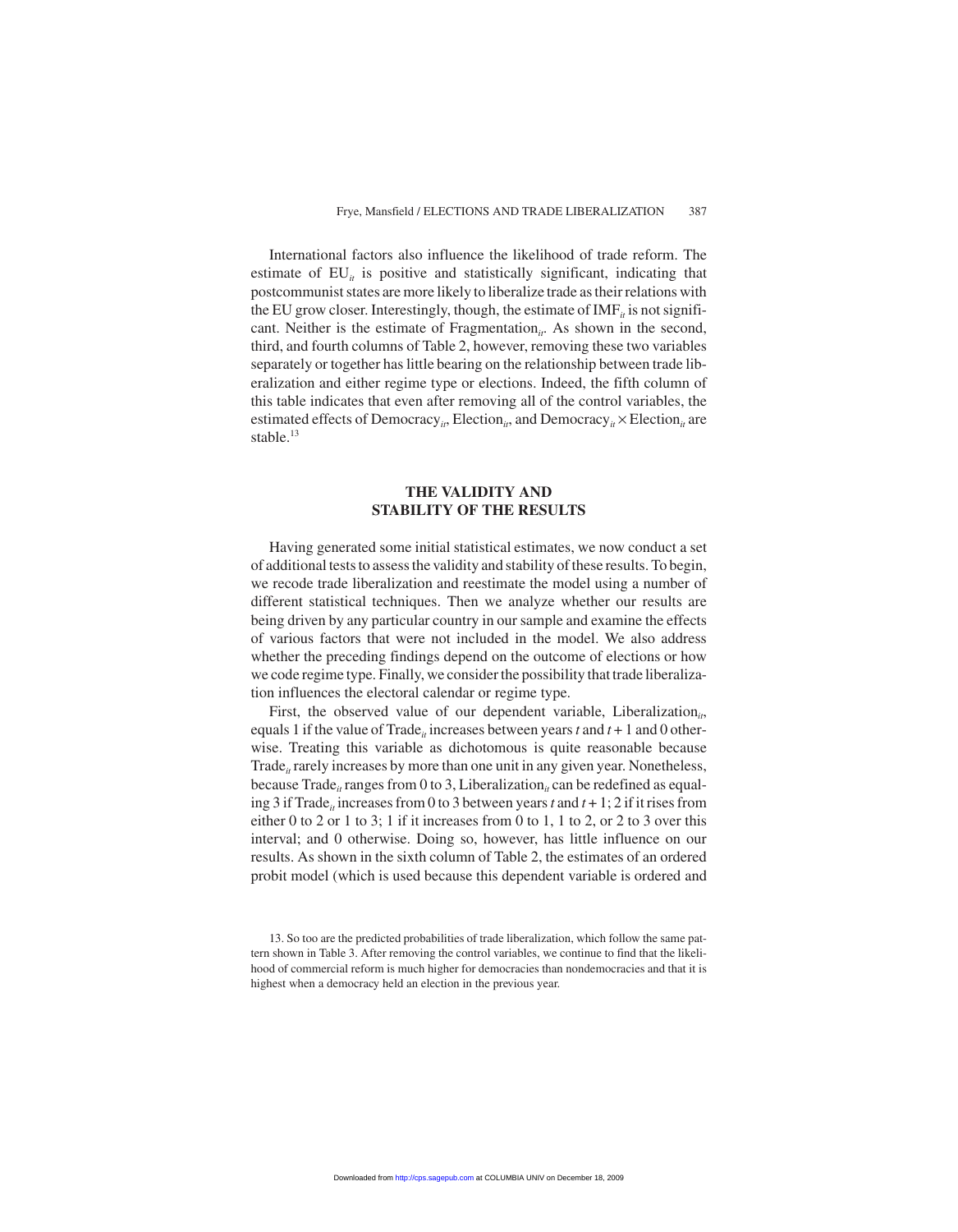International factors also influence the likelihood of trade reform. The estimate of  $EU_{it}$  is positive and statistically significant, indicating that postcommunist states are more likely to liberalize trade as their relations with the EU grow closer. Interestingly, though, the estimate of  $IMF<sub>i</sub>$  is not significant. Neither is the estimate of Fragmentation<sub>it</sub>. As shown in the second, third, and fourth columns of Table 2, however, removing these two variables separately or together has little bearing on the relationship between trade liberalization and either regime type or elections. Indeed, the fifth column of this table indicates that even after removing all of the control variables, the estimated effects of Democracy<sub>it</sub>, Election<sub>it</sub>, and Democracy<sub>it</sub> × Election<sub>it</sub> are stable.<sup>13</sup>

#### **THE VALIDITY AND STABILITY OF THE RESULTS**

Having generated some initial statistical estimates, we now conduct a set of additional tests to assess the validity and stability of these results. To begin, we recode trade liberalization and reestimate the model using a number of different statistical techniques. Then we analyze whether our results are being driven by any particular country in our sample and examine the effects of various factors that were not included in the model. We also address whether the preceding findings depend on the outcome of elections or how we code regime type. Finally, we consider the possibility that trade liberalization influences the electoral calendar or regime type.

First, the observed value of our dependent variable, Liberalization<sub>it</sub>, equals 1 if the value of Trade<sub>*it*</sub> increases between years *t* and  $t + 1$  and 0 otherwise. Treating this variable as dichotomous is quite reasonable because Trade<sub>it</sub> rarely increases by more than one unit in any given year. Nonetheless, because Trade<sub>it</sub> ranges from 0 to 3, Liberalization<sub>it</sub> can be redefined as equaling 3 if Trade<sub>*it*</sub> increases from 0 to 3 between years *t* and  $t + 1$ ; 2 if it rises from either 0 to 2 or 1 to 3; 1 if it increases from 0 to 1, 1 to 2, or 2 to 3 over this interval; and 0 otherwise. Doing so, however, has little influence on our results. As shown in the sixth column of Table 2, the estimates of an ordered probit model (which is used because this dependent variable is ordered and

<sup>13.</sup> So too are the predicted probabilities of trade liberalization, which follow the same pattern shown in Table 3. After removing the control variables, we continue to find that the likelihood of commercial reform is much higher for democracies than nondemocracies and that it is highest when a democracy held an election in the previous year.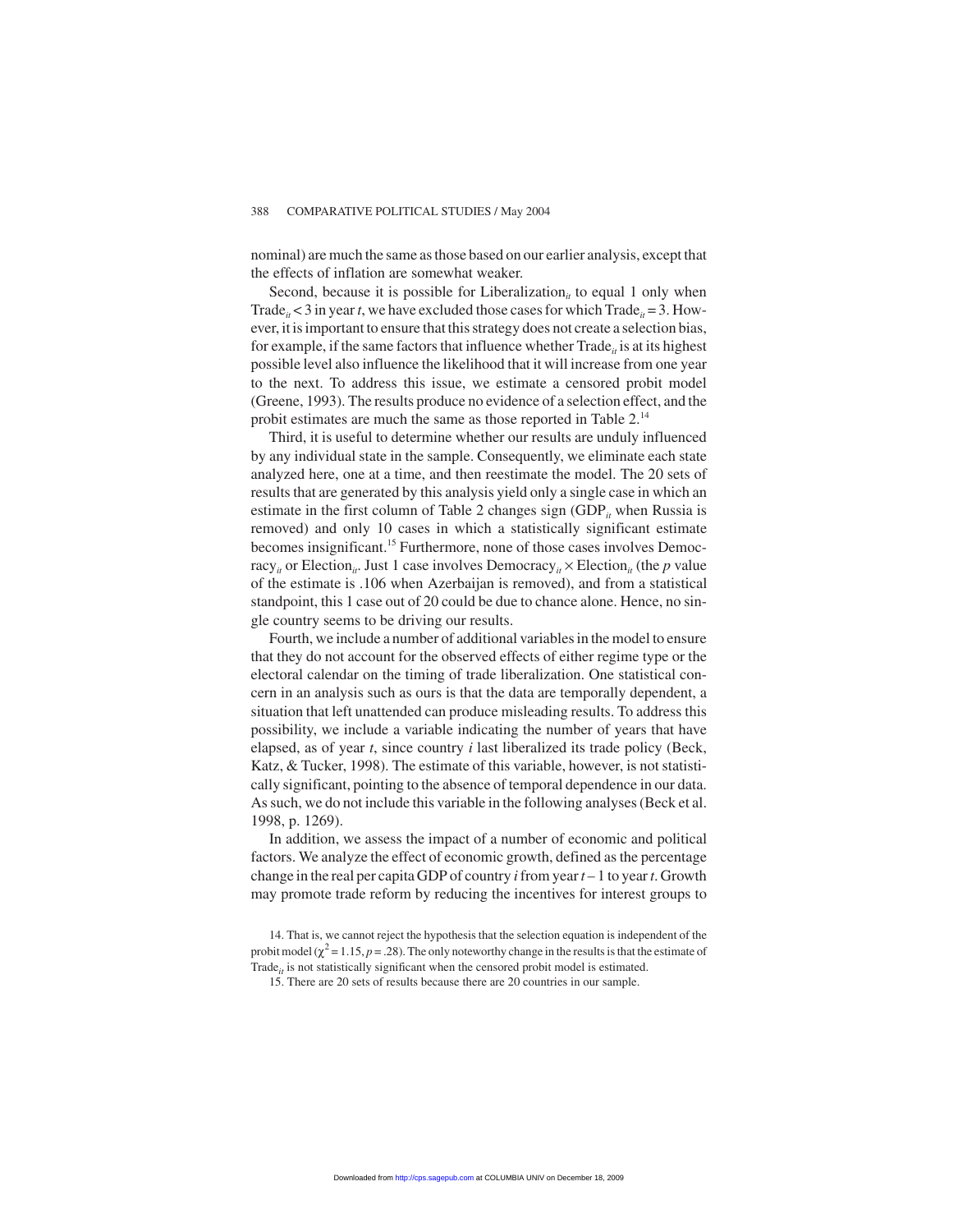nominal) are much the same as those based on our earlier analysis, except that the effects of inflation are somewhat weaker.

Second, because it is possible for Liberalization<sub>it</sub> to equal 1 only when Trade<sub>it</sub>  $\lt$  3 in year *t*, we have excluded those cases for which Trade<sub>it</sub> = 3. However, it is important to ensure that this strategy does not create a selection bias, for example, if the same factors that influence whether  $\text{Trace}_{it}$  is at its highest possible level also influence the likelihood that it will increase from one year to the next. To address this issue, we estimate a censored probit model (Greene, 1993). The results produce no evidence of a selection effect, and the probit estimates are much the same as those reported in Table 2.<sup>14</sup>

Third, it is useful to determine whether our results are unduly influenced by any individual state in the sample. Consequently, we eliminate each state analyzed here, one at a time, and then reestimate the model. The 20 sets of results that are generated by this analysis yield only a single case in which an estimate in the first column of Table 2 changes sign  $(GDP<sub>i</sub>$  when Russia is removed) and only 10 cases in which a statistically significant estimate becomes insignificant.<sup>15</sup> Furthermore, none of those cases involves Democracy<sub>*it*</sub> or Election<sub>*it*</sub>. Just 1 case involves Democracy<sub>*it*</sub>  $\times$  Election<sub>*it*</sub> (the *p* value of the estimate is .106 when Azerbaijan is removed), and from a statistical standpoint, this 1 case out of 20 could be due to chance alone. Hence, no single country seems to be driving our results.

Fourth, we include a number of additional variables in the model to ensure that they do not account for the observed effects of either regime type or the electoral calendar on the timing of trade liberalization. One statistical concern in an analysis such as ours is that the data are temporally dependent, a situation that left unattended can produce misleading results. To address this possibility, we include a variable indicating the number of years that have elapsed, as of year *t*, since country *i* last liberalized its trade policy (Beck, Katz, & Tucker, 1998). The estimate of this variable, however, is not statistically significant, pointing to the absence of temporal dependence in our data. As such, we do not include this variable in the following analyses (Beck et al. 1998, p. 1269).

In addition, we assess the impact of a number of economic and political factors. We analyze the effect of economic growth, defined as the percentage change in the real per capita GDP of country *i*from year*t* – 1 to year*t*. Growth may promote trade reform by reducing the incentives for interest groups to

<sup>14.</sup> That is, we cannot reject the hypothesis that the selection equation is independent of the probit model ( $\chi^2$  = 1.15, *p* = .28). The only noteworthy change in the results is that the estimate of Trade<sub>it</sub> is not statistically significant when the censored probit model is estimated.

<sup>15.</sup> There are 20 sets of results because there are 20 countries in our sample.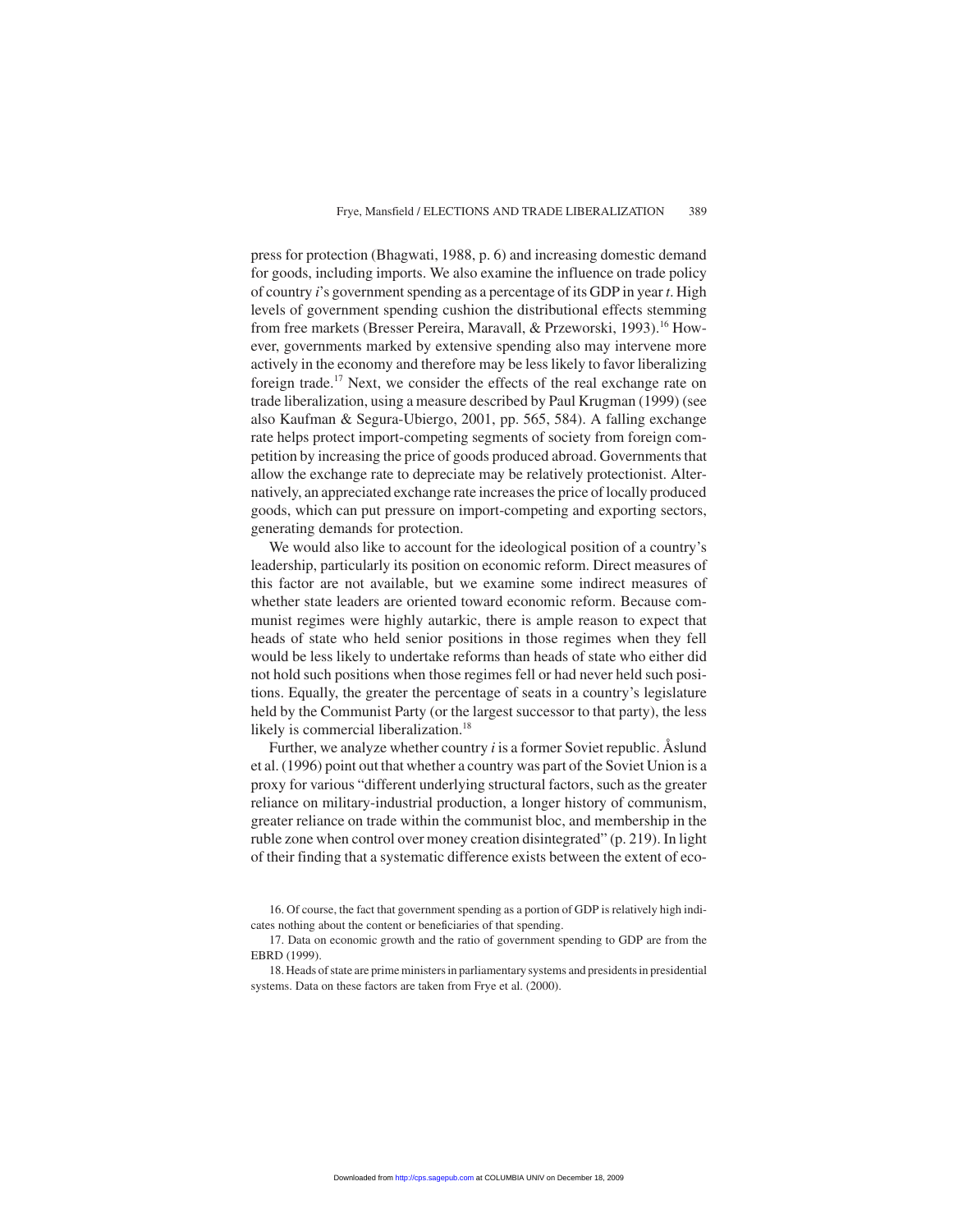press for protection (Bhagwati, 1988, p. 6) and increasing domestic demand for goods, including imports. We also examine the influence on trade policy of country *i*'s government spending as a percentage of its GDP in year *t*. High levels of government spending cushion the distributional effects stemming from free markets (Bresser Pereira, Maravall, & Przeworski, 1993).<sup>16</sup> However, governments marked by extensive spending also may intervene more actively in the economy and therefore may be less likely to favor liberalizing foreign trade.<sup>17</sup> Next, we consider the effects of the real exchange rate on trade liberalization, using a measure described by Paul Krugman (1999) (see also Kaufman & Segura-Ubiergo, 2001, pp. 565, 584). A falling exchange rate helps protect import-competing segments of society from foreign competition by increasing the price of goods produced abroad. Governments that allow the exchange rate to depreciate may be relatively protectionist. Alternatively, an appreciated exchange rate increases the price of locally produced goods, which can put pressure on import-competing and exporting sectors, generating demands for protection.

We would also like to account for the ideological position of a country's leadership, particularly its position on economic reform. Direct measures of this factor are not available, but we examine some indirect measures of whether state leaders are oriented toward economic reform. Because communist regimes were highly autarkic, there is ample reason to expect that heads of state who held senior positions in those regimes when they fell would be less likely to undertake reforms than heads of state who either did not hold such positions when those regimes fell or had never held such positions. Equally, the greater the percentage of seats in a country's legislature held by the Communist Party (or the largest successor to that party), the less likely is commercial liberalization.<sup>18</sup>

Further, we analyze whether country *i* is a former Soviet republic. Åslund et al. (1996) point out that whether a country was part of the Soviet Union is a proxy for various "different underlying structural factors, such as the greater reliance on military-industrial production, a longer history of communism, greater reliance on trade within the communist bloc, and membership in the ruble zone when control over money creation disintegrated" (p. 219). In light of their finding that a systematic difference exists between the extent of eco-

<sup>16.</sup> Of course, the fact that government spending as a portion of GDP is relatively high indicates nothing about the content or beneficiaries of that spending.

<sup>17.</sup> Data on economic growth and the ratio of government spending to GDP are from the EBRD (1999).

<sup>18.</sup> Heads of state are prime ministers in parliamentary systems and presidents in presidential systems. Data on these factors are taken from Frye et al. (2000).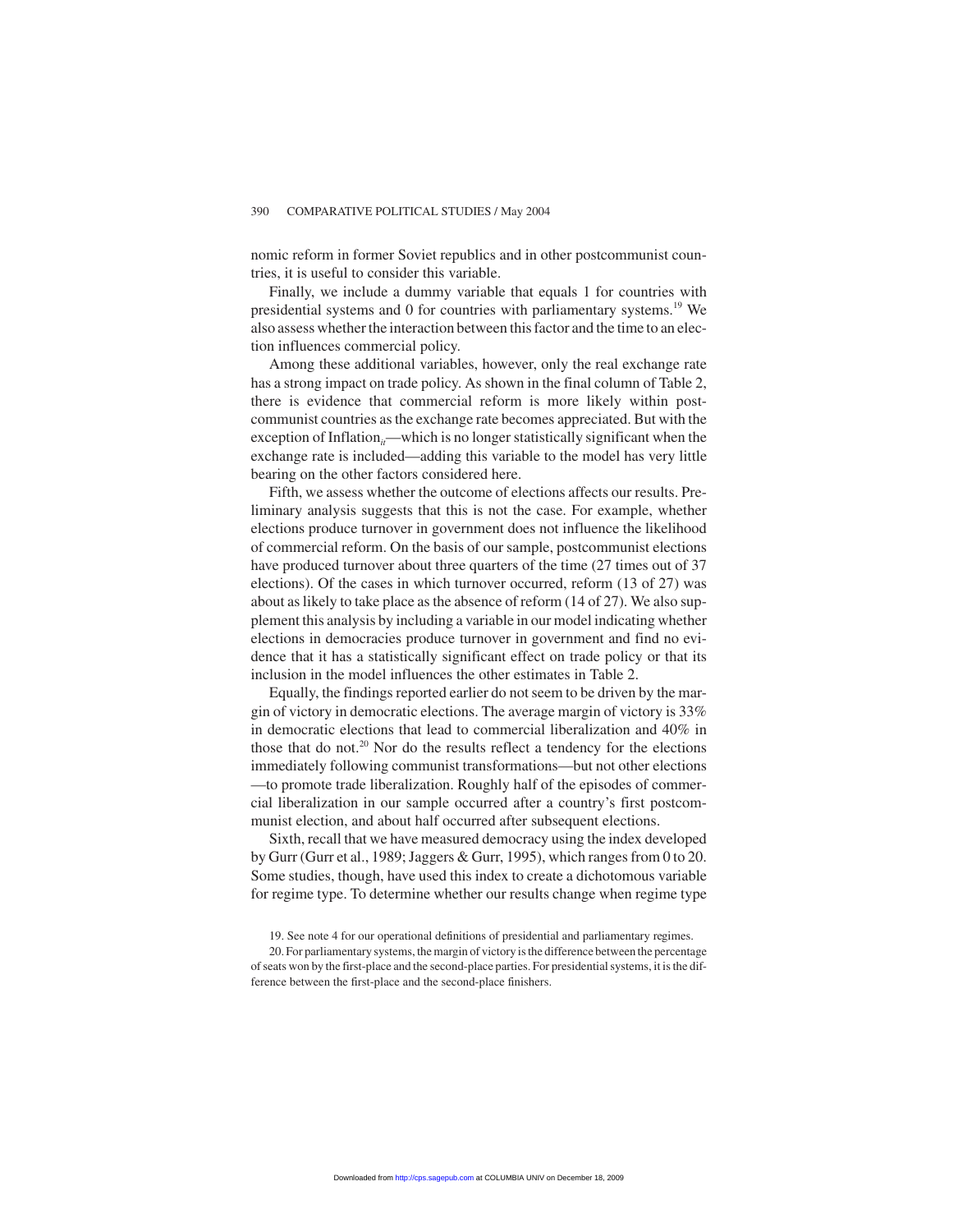nomic reform in former Soviet republics and in other postcommunist countries, it is useful to consider this variable.

Finally, we include a dummy variable that equals 1 for countries with presidential systems and 0 for countries with parliamentary systems.<sup>19</sup> We also assess whether the interaction between this factor and the time to an election influences commercial policy.

Among these additional variables, however, only the real exchange rate has a strong impact on trade policy. As shown in the final column of Table 2, there is evidence that commercial reform is more likely within postcommunist countries as the exchange rate becomes appreciated. But with the exception of Inflation<sub>it</sub>—which is no longer statistically significant when the exchange rate is included—adding this variable to the model has very little bearing on the other factors considered here.

Fifth, we assess whether the outcome of elections affects our results. Preliminary analysis suggests that this is not the case. For example, whether elections produce turnover in government does not influence the likelihood of commercial reform. On the basis of our sample, postcommunist elections have produced turnover about three quarters of the time (27 times out of 37 elections). Of the cases in which turnover occurred, reform (13 of 27) was about as likely to take place as the absence of reform (14 of 27). We also supplement this analysis by including a variable in our model indicating whether elections in democracies produce turnover in government and find no evidence that it has a statistically significant effect on trade policy or that its inclusion in the model influences the other estimates in Table 2.

Equally, the findings reported earlier do not seem to be driven by the margin of victory in democratic elections. The average margin of victory is 33% in democratic elections that lead to commercial liberalization and 40% in those that do not.<sup>20</sup> Nor do the results reflect a tendency for the elections immediately following communist transformations—but not other elections —to promote trade liberalization. Roughly half of the episodes of commercial liberalization in our sample occurred after a country's first postcommunist election, and about half occurred after subsequent elections.

Sixth, recall that we have measured democracy using the index developed by Gurr (Gurr et al., 1989; Jaggers & Gurr, 1995), which ranges from 0 to 20. Some studies, though, have used this index to create a dichotomous variable for regime type. To determine whether our results change when regime type

<sup>19.</sup> See note 4 for our operational definitions of presidential and parliamentary regimes.

<sup>20.</sup> For parliamentary systems, the margin of victory is the difference between the percentage of seats won by the first-place and the second-place parties. For presidential systems, it is the difference between the first-place and the second-place finishers.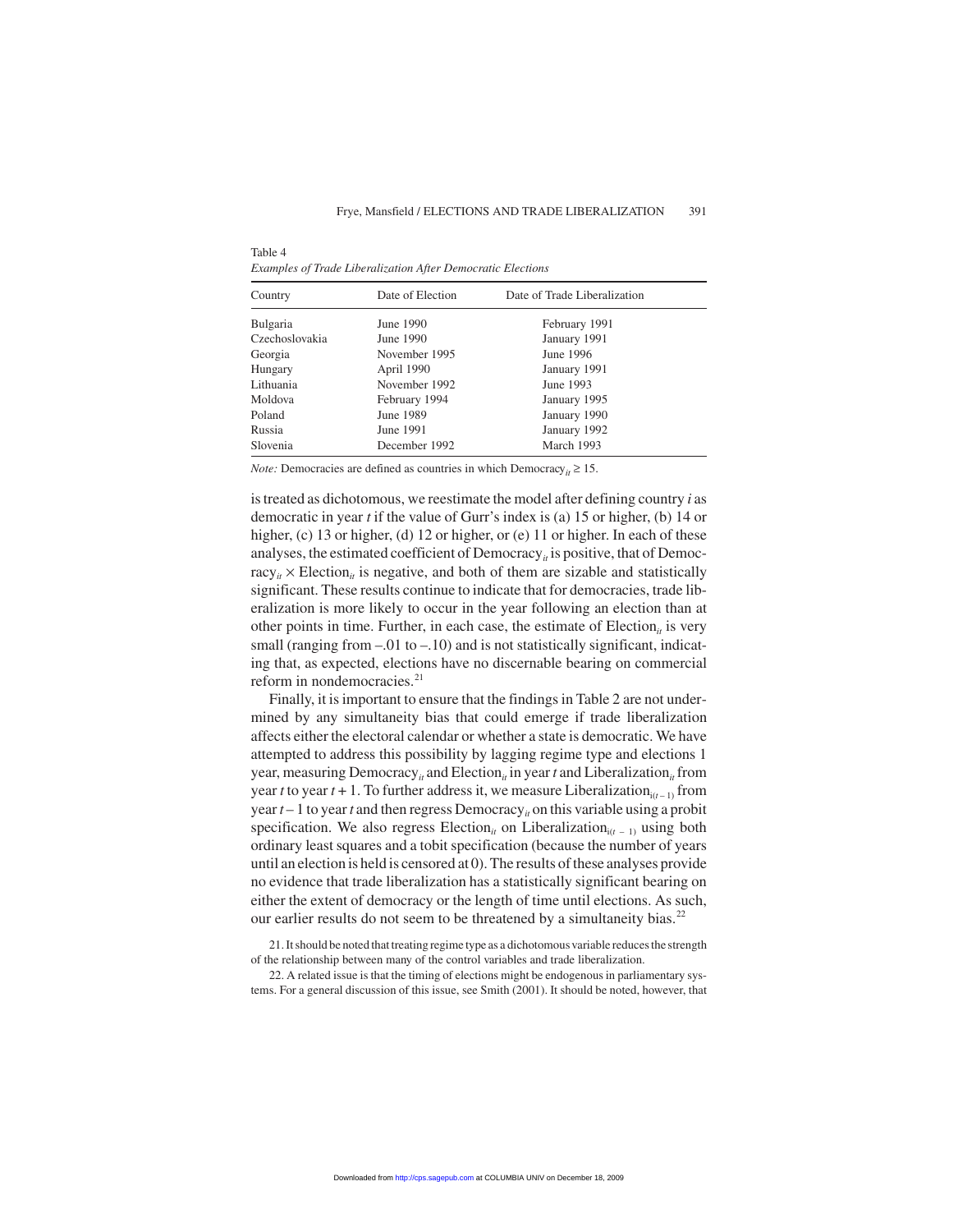Table 4 *Examples of Trade Liberalization After Democratic Elections*

| Country         | Date of Election | Date of Trade Liberalization |  |
|-----------------|------------------|------------------------------|--|
| <b>Bulgaria</b> | June 1990        | February 1991                |  |
| Czechoslovakia  | June 1990        | January 1991                 |  |
| Georgia         | November 1995    | June 1996                    |  |
| Hungary         | April 1990       | January 1991                 |  |
| Lithuania       | November 1992    | June 1993                    |  |
| Moldova         | February 1994    | January 1995                 |  |
| Poland          | June 1989        | January 1990                 |  |
| Russia          | June 1991        | January 1992                 |  |
| Slovenia        | December 1992    | March 1993                   |  |

*Note:* Democracies are defined as countries in which Democracy<sub>*it*</sub>  $\geq$  15.

is treated as dichotomous, we reestimate the model after defining country *i* as democratic in year *t* if the value of Gurr's index is (a) 15 or higher, (b) 14 or higher, (c) 13 or higher, (d) 12 or higher, or (e) 11 or higher. In each of these analyses, the estimated coefficient of  $Democrac{y_i}{t}$  is positive, that of Democracy<sub>*it*</sub>  $\times$  Election<sub>*it*</sub> is negative, and both of them are sizable and statistically significant. These results continue to indicate that for democracies, trade liberalization is more likely to occur in the year following an election than at other points in time. Further, in each case, the estimate of Election<sub>it</sub> is very small (ranging from  $-.01$  to  $-.10$ ) and is not statistically significant, indicating that, as expected, elections have no discernable bearing on commercial reform in nondemocracies.<sup>21</sup>

Finally, it is important to ensure that the findings in Table 2 are not undermined by any simultaneity bias that could emerge if trade liberalization affects either the electoral calendar or whether a state is democratic. We have attempted to address this possibility by lagging regime type and elections 1 year, measuring Democracy<sub>*it*</sub> and Election<sub>*it*</sub> in year *t* and Liberalization<sub>*it*</sub> from year *t* to year  $t + 1$ . To further address it, we measure Liberalization<sub>i( $t-1$ )</sub> from year  $t-1$  to year  $t$  and then regress Democracy<sub>*it*</sub> on this variable using a probit specification. We also regress Election<sub>it</sub> on Liberalization<sub>it</sub> – 1) using both ordinary least squares and a tobit specification (because the number of years until an election is held is censored at 0). The results of these analyses provide no evidence that trade liberalization has a statistically significant bearing on either the extent of democracy or the length of time until elections. As such, our earlier results do not seem to be threatened by a simultaneity bias.<sup>22</sup>

21. It should be noted that treating regime type as a dichotomous variable reduces the strength of the relationship between many of the control variables and trade liberalization.

22. A related issue is that the timing of elections might be endogenous in parliamentary systems. For a general discussion of this issue, see Smith (2001). It should be noted, however, that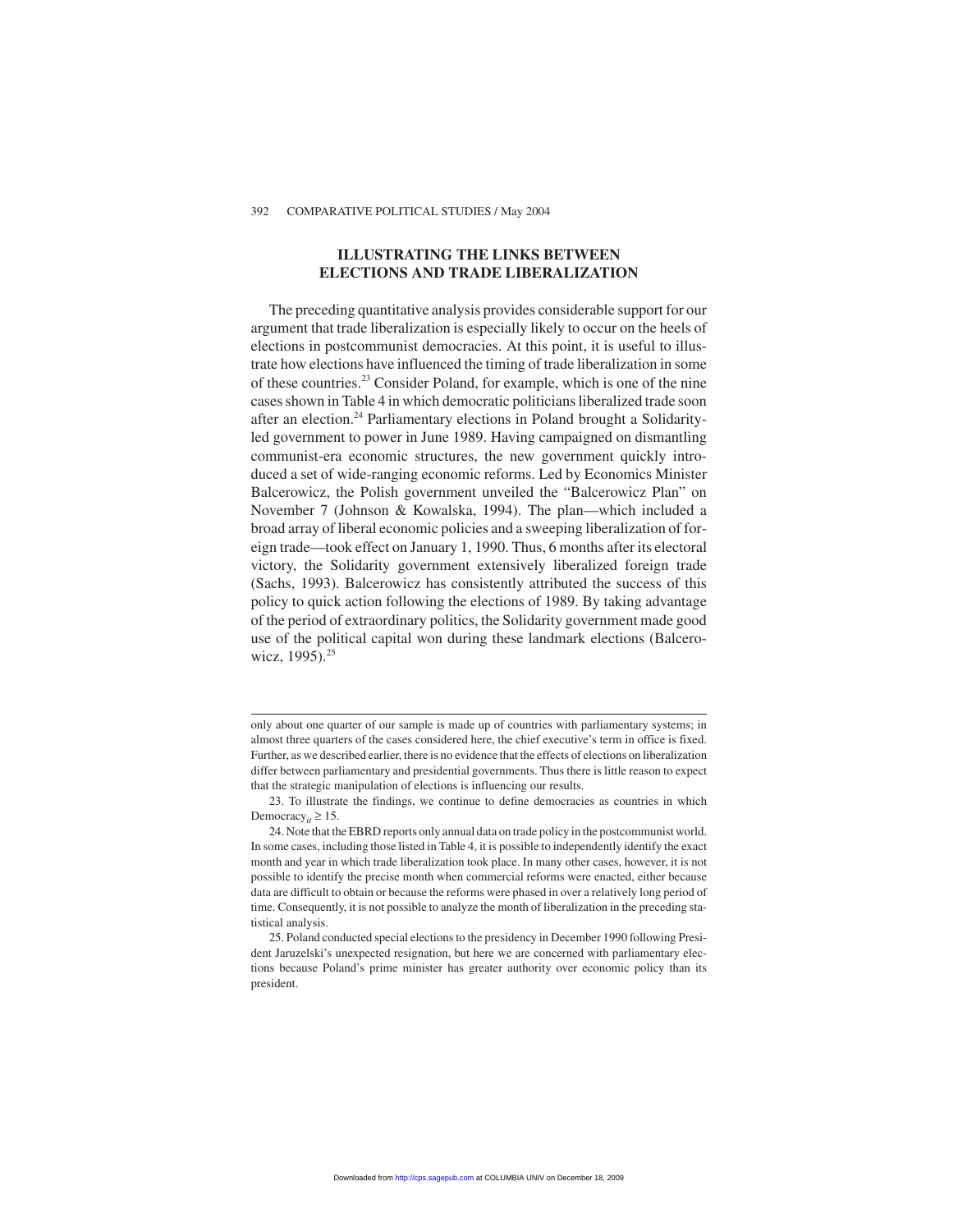#### **ILLUSTRATING THE LINKS BETWEEN ELECTIONS AND TRADE LIBERALIZATION**

The preceding quantitative analysis provides considerable support for our argument that trade liberalization is especially likely to occur on the heels of elections in postcommunist democracies. At this point, it is useful to illustrate how elections have influenced the timing of trade liberalization in some of these countries.23 Consider Poland, for example, which is one of the nine cases shown in Table 4 in which democratic politicians liberalized trade soon after an election.<sup>24</sup> Parliamentary elections in Poland brought a Solidarityled government to power in June 1989. Having campaigned on dismantling communist-era economic structures, the new government quickly introduced a set of wide-ranging economic reforms. Led by Economics Minister Balcerowicz, the Polish government unveiled the "Balcerowicz Plan" on November 7 (Johnson & Kowalska, 1994). The plan—which included a broad array of liberal economic policies and a sweeping liberalization of foreign trade—took effect on January 1, 1990. Thus, 6 months after its electoral victory, the Solidarity government extensively liberalized foreign trade (Sachs, 1993). Balcerowicz has consistently attributed the success of this policy to quick action following the elections of 1989. By taking advantage of the period of extraordinary politics, the Solidarity government made good use of the political capital won during these landmark elections (Balcerowicz, 1995).<sup>25</sup>

only about one quarter of our sample is made up of countries with parliamentary systems; in almost three quarters of the cases considered here, the chief executive's term in office is fixed. Further, as we described earlier, there is no evidence that the effects of elections on liberalization differ between parliamentary and presidential governments. Thus there is little reason to expect that the strategic manipulation of elections is influencing our results.

<sup>23.</sup> To illustrate the findings, we continue to define democracies as countries in which Democracy<sub>*it*</sub>  $\geq 15$ .

<sup>24.</sup> Note that the EBRD reports only annual data on trade policy in the postcommunist world. In some cases, including those listed in Table 4, it is possible to independently identify the exact month and year in which trade liberalization took place. In many other cases, however, it is not possible to identify the precise month when commercial reforms were enacted, either because data are difficult to obtain or because the reforms were phased in over a relatively long period of time. Consequently, it is not possible to analyze the month of liberalization in the preceding statistical analysis.

<sup>25.</sup> Poland conducted special elections to the presidency in December 1990 following President Jaruzelski's unexpected resignation, but here we are concerned with parliamentary elections because Poland's prime minister has greater authority over economic policy than its president.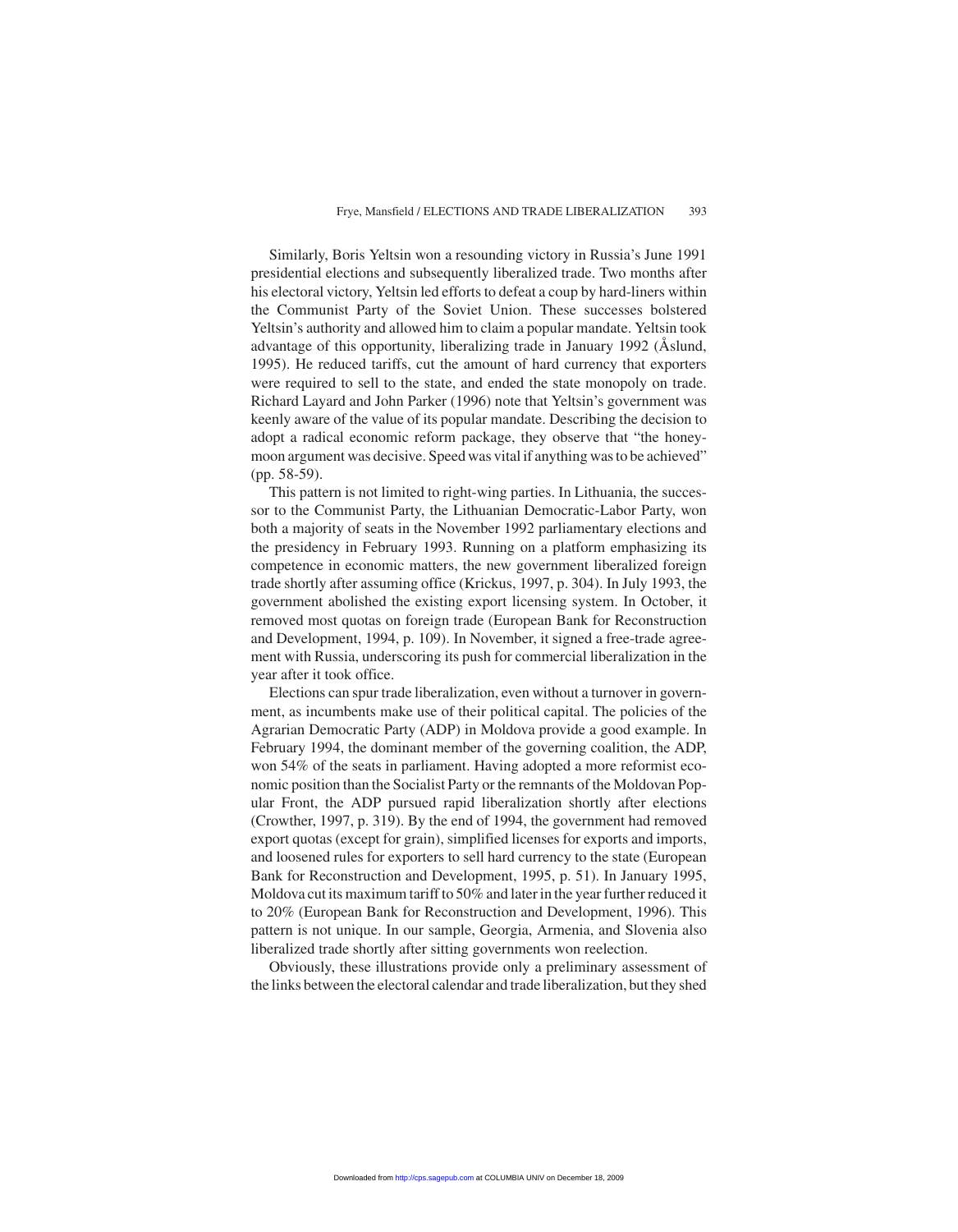Similarly, Boris Yeltsin won a resounding victory in Russia's June 1991 presidential elections and subsequently liberalized trade. Two months after his electoral victory, Yeltsin led efforts to defeat a coup by hard-liners within the Communist Party of the Soviet Union. These successes bolstered Yeltsin's authority and allowed him to claim a popular mandate. Yeltsin took advantage of this opportunity, liberalizing trade in January 1992 (Åslund, 1995). He reduced tariffs, cut the amount of hard currency that exporters were required to sell to the state, and ended the state monopoly on trade. Richard Layard and John Parker (1996) note that Yeltsin's government was keenly aware of the value of its popular mandate. Describing the decision to adopt a radical economic reform package, they observe that "the honeymoon argument was decisive. Speed was vital if anything was to be achieved" (pp. 58-59).

This pattern is not limited to right-wing parties. In Lithuania, the successor to the Communist Party, the Lithuanian Democratic-Labor Party, won both a majority of seats in the November 1992 parliamentary elections and the presidency in February 1993. Running on a platform emphasizing its competence in economic matters, the new government liberalized foreign trade shortly after assuming office (Krickus, 1997, p. 304). In July 1993, the government abolished the existing export licensing system. In October, it removed most quotas on foreign trade (European Bank for Reconstruction and Development, 1994, p. 109). In November, it signed a free-trade agreement with Russia, underscoring its push for commercial liberalization in the year after it took office.

Elections can spur trade liberalization, even without a turnover in government, as incumbents make use of their political capital. The policies of the Agrarian Democratic Party (ADP) in Moldova provide a good example. In February 1994, the dominant member of the governing coalition, the ADP, won 54% of the seats in parliament. Having adopted a more reformist economic position than the Socialist Party or the remnants of the Moldovan Popular Front, the ADP pursued rapid liberalization shortly after elections (Crowther, 1997, p. 319). By the end of 1994, the government had removed export quotas (except for grain), simplified licenses for exports and imports, and loosened rules for exporters to sell hard currency to the state (European Bank for Reconstruction and Development, 1995, p. 51). In January 1995, Moldova cut its maximum tariff to 50% and later in the year further reduced it to 20% (European Bank for Reconstruction and Development, 1996). This pattern is not unique. In our sample, Georgia, Armenia, and Slovenia also liberalized trade shortly after sitting governments won reelection.

Obviously, these illustrations provide only a preliminary assessment of the links between the electoral calendar and trade liberalization, but they shed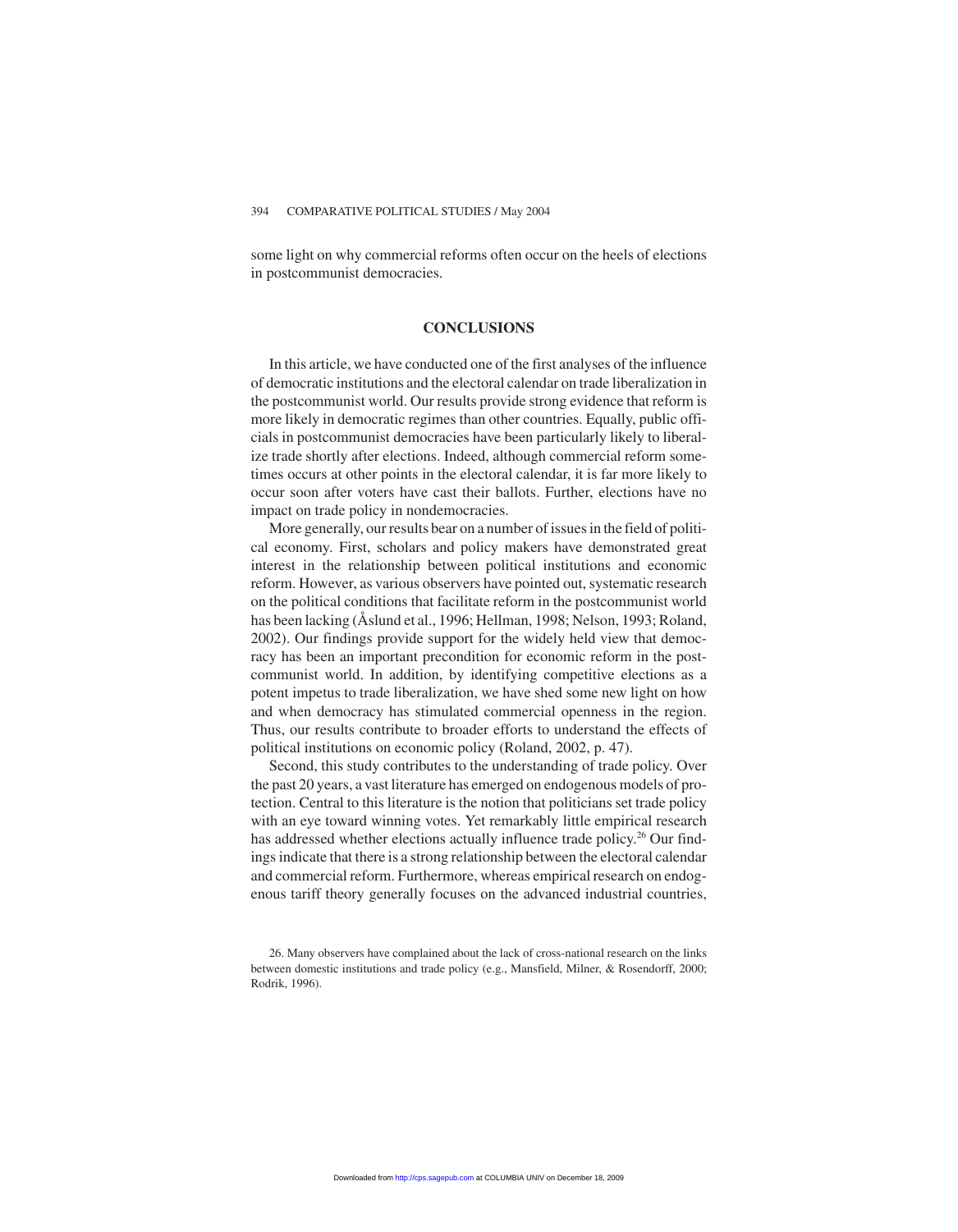some light on why commercial reforms often occur on the heels of elections in postcommunist democracies.

#### **CONCLUSIONS**

In this article, we have conducted one of the first analyses of the influence of democratic institutions and the electoral calendar on trade liberalization in the postcommunist world. Our results provide strong evidence that reform is more likely in democratic regimes than other countries. Equally, public officials in postcommunist democracies have been particularly likely to liberalize trade shortly after elections. Indeed, although commercial reform sometimes occurs at other points in the electoral calendar, it is far more likely to occur soon after voters have cast their ballots. Further, elections have no impact on trade policy in nondemocracies.

More generally, our results bear on a number of issues in the field of political economy. First, scholars and policy makers have demonstrated great interest in the relationship between political institutions and economic reform. However, as various observers have pointed out, systematic research on the political conditions that facilitate reform in the postcommunist world has been lacking (Åslund et al., 1996; Hellman, 1998; Nelson, 1993; Roland, 2002). Our findings provide support for the widely held view that democracy has been an important precondition for economic reform in the postcommunist world. In addition, by identifying competitive elections as a potent impetus to trade liberalization, we have shed some new light on how and when democracy has stimulated commercial openness in the region. Thus, our results contribute to broader efforts to understand the effects of political institutions on economic policy (Roland, 2002, p. 47).

Second, this study contributes to the understanding of trade policy. Over the past 20 years, a vast literature has emerged on endogenous models of protection. Central to this literature is the notion that politicians set trade policy with an eye toward winning votes. Yet remarkably little empirical research has addressed whether elections actually influence trade policy.<sup>26</sup> Our findings indicate that there is a strong relationship between the electoral calendar and commercial reform. Furthermore, whereas empirical research on endogenous tariff theory generally focuses on the advanced industrial countries,

<sup>26.</sup> Many observers have complained about the lack of cross-national research on the links between domestic institutions and trade policy (e.g., Mansfield, Milner, & Rosendorff, 2000; Rodrik, 1996).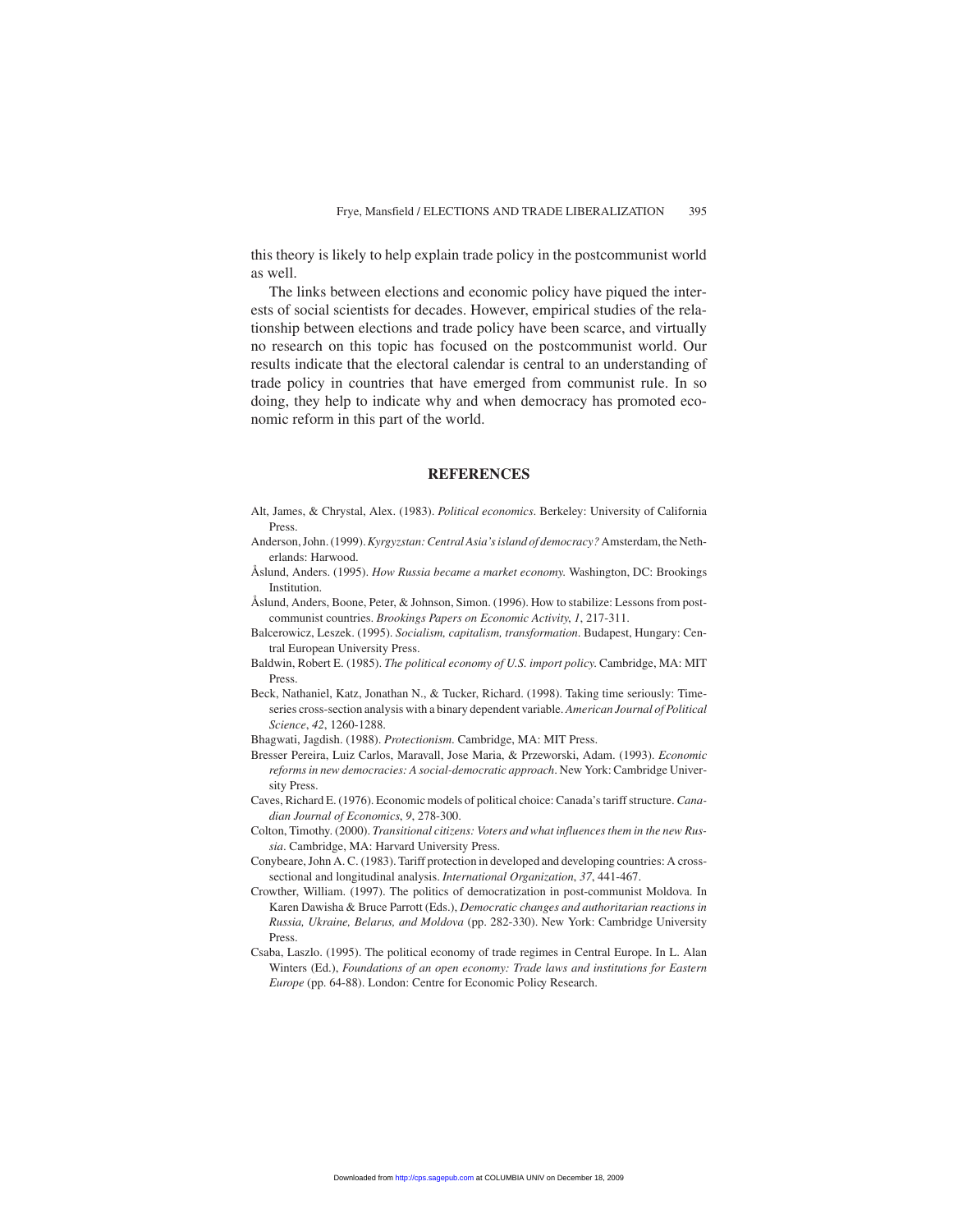this theory is likely to help explain trade policy in the postcommunist world as well.

The links between elections and economic policy have piqued the interests of social scientists for decades. However, empirical studies of the relationship between elections and trade policy have been scarce, and virtually no research on this topic has focused on the postcommunist world. Our results indicate that the electoral calendar is central to an understanding of trade policy in countries that have emerged from communist rule. In so doing, they help to indicate why and when democracy has promoted economic reform in this part of the world.

#### **REFERENCES**

- Alt, James, & Chrystal, Alex. (1983). *Political economics*. Berkeley: University of California Press.
- Anderson, John. (1999).*Kyrgyzstan: Central Asia's island of democracy?*Amsterdam, the Netherlands: Harwood.
- Åslund, Anders. (1995). *How Russia became a market economy*. Washington, DC: Brookings Institution.
- Åslund, Anders, Boone, Peter, & Johnson, Simon. (1996). How to stabilize: Lessons from postcommunist countries. *Brookings Papers on Economic Activity*, *1*, 217-311.
- Balcerowicz, Leszek. (1995). *Socialism, capitalism, transformation*. Budapest, Hungary: Central European University Press.
- Baldwin, Robert E. (1985). *The political economy of U.S. import policy*. Cambridge, MA: MIT Press.
- Beck, Nathaniel, Katz, Jonathan N., & Tucker, Richard. (1998). Taking time seriously: Timeseries cross-section analysis with a binary dependent variable. *American Journal of Political Science*, *42*, 1260-1288.
- Bhagwati, Jagdish. (1988). *Protectionism*. Cambridge, MA: MIT Press.
- Bresser Pereira, Luiz Carlos, Maravall, Jose Maria, & Przeworski, Adam. (1993). *Economic reforms in new democracies: A social-democratic approach*. New York: Cambridge University Press.
- Caves, Richard E. (1976). Economic models of political choice: Canada's tariff structure. *Canadian Journal of Economics*, *9*, 278-300.
- Colton, Timothy. (2000). *Transitional citizens: Voters and what influences them in the new Russia*. Cambridge, MA: Harvard University Press.
- Conybeare, John A. C. (1983). Tariff protection in developed and developing countries: A crosssectional and longitudinal analysis. *International Organization*, *37*, 441-467.
- Crowther, William. (1997). The politics of democratization in post-communist Moldova. In Karen Dawisha & Bruce Parrott (Eds.), *Democratic changes and authoritarian reactions in Russia, Ukraine, Belarus, and Moldova* (pp. 282-330). New York: Cambridge University Press.
- Csaba, Laszlo. (1995). The political economy of trade regimes in Central Europe. In L. Alan Winters (Ed.), *Foundations of an open economy: Trade laws and institutions for Eastern Europe* (pp. 64-88). London: Centre for Economic Policy Research.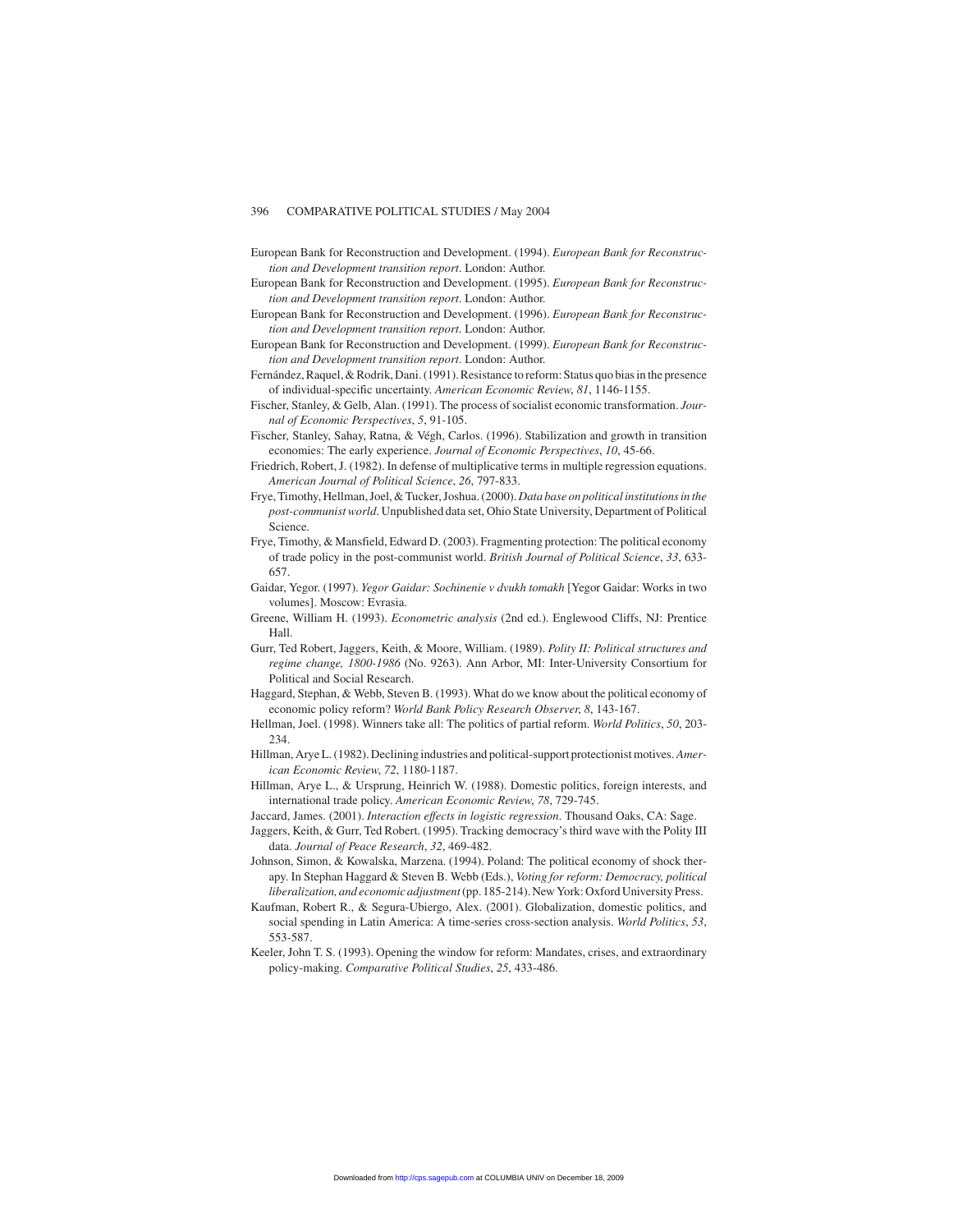- European Bank for Reconstruction and Development. (1994). *European Bank for Reconstruction and Development transition report*. London: Author.
- European Bank for Reconstruction and Development. (1995). *European Bank for Reconstruction and Development transition report*. London: Author.
- European Bank for Reconstruction and Development. (1996). *European Bank for Reconstruction and Development transition report*. London: Author.
- European Bank for Reconstruction and Development. (1999). *European Bank for Reconstruction and Development transition report*. London: Author.
- Fernández, Raquel, & Rodrik, Dani. (1991). Resistance to reform: Status quo bias in the presence of individual-specific uncertainty. *American Economic Review*, *81*, 1146-1155.
- Fischer, Stanley, & Gelb, Alan. (1991). The process of socialist economic transformation. *Journal of Economic Perspectives*, *5*, 91-105.
- Fischer, Stanley, Sahay, Ratna, & Végh, Carlos. (1996). Stabilization and growth in transition economies: The early experience. *Journal of Economic Perspectives*, *10*, 45-66.
- Friedrich, Robert, J. (1982). In defense of multiplicative terms in multiple regression equations. *American Journal of Political Science*, *26*, 797-833.
- Frye, Timothy, Hellman, Joel, & Tucker, Joshua. (2000).*Data base on political institutions in the post-communist world*. Unpublished data set, Ohio State University, Department of Political Science.
- Frye, Timothy, & Mansfield, Edward D. (2003). Fragmenting protection: The political economy of trade policy in the post-communist world. *British Journal of Political Science*, *33*, 633- 657.
- Gaidar, Yegor. (1997). *Yegor Gaidar: Sochinenie v dvukh tomakh* [Yegor Gaidar: Works in two volumes]. Moscow: Evrasia.
- Greene, William H. (1993). *Econometric analysis* (2nd ed.). Englewood Cliffs, NJ: Prentice Hall.
- Gurr, Ted Robert, Jaggers, Keith, & Moore, William. (1989). *Polity II: Political structures and regime change, 1800-1986* (No. 9263). Ann Arbor, MI: Inter-University Consortium for Political and Social Research.
- Haggard, Stephan, & Webb, Steven B. (1993). What do we know about the political economy of economic policy reform? *World Bank Policy Research Observer*, *8*, 143-167.
- Hellman, Joel. (1998). Winners take all: The politics of partial reform. *World Politics*, *50*, 203- 234.
- Hillman, Arye L. (1982). Declining industries and political-support protectionist motives. *American Economic Review*, *72*, 1180-1187.
- Hillman, Arye L., & Ursprung, Heinrich W. (1988). Domestic politics, foreign interests, and international trade policy. *American Economic Review*, *78*, 729-745.
- Jaccard, James. (2001). *Interaction effects in logistic regression*. Thousand Oaks, CA: Sage.
- Jaggers, Keith, & Gurr, Ted Robert. (1995). Tracking democracy's third wave with the Polity III data. *Journal of Peace Research*, *32*, 469-482.
- Johnson, Simon, & Kowalska, Marzena. (1994). Poland: The political economy of shock therapy. In Stephan Haggard & Steven B. Webb (Eds.), *Voting for reform: Democracy, political liberalization, and economic adjustment*(pp. 185-214).New York: Oxford University Press.
- Kaufman, Robert R., & Segura-Ubiergo, Alex. (2001). Globalization, domestic politics, and social spending in Latin America: A time-series cross-section analysis. *World Politics*, *53*, 553-587.
- Keeler, John T. S. (1993). Opening the window for reform: Mandates, crises, and extraordinary policy-making. *Comparative Political Studies*, *25*, 433-486.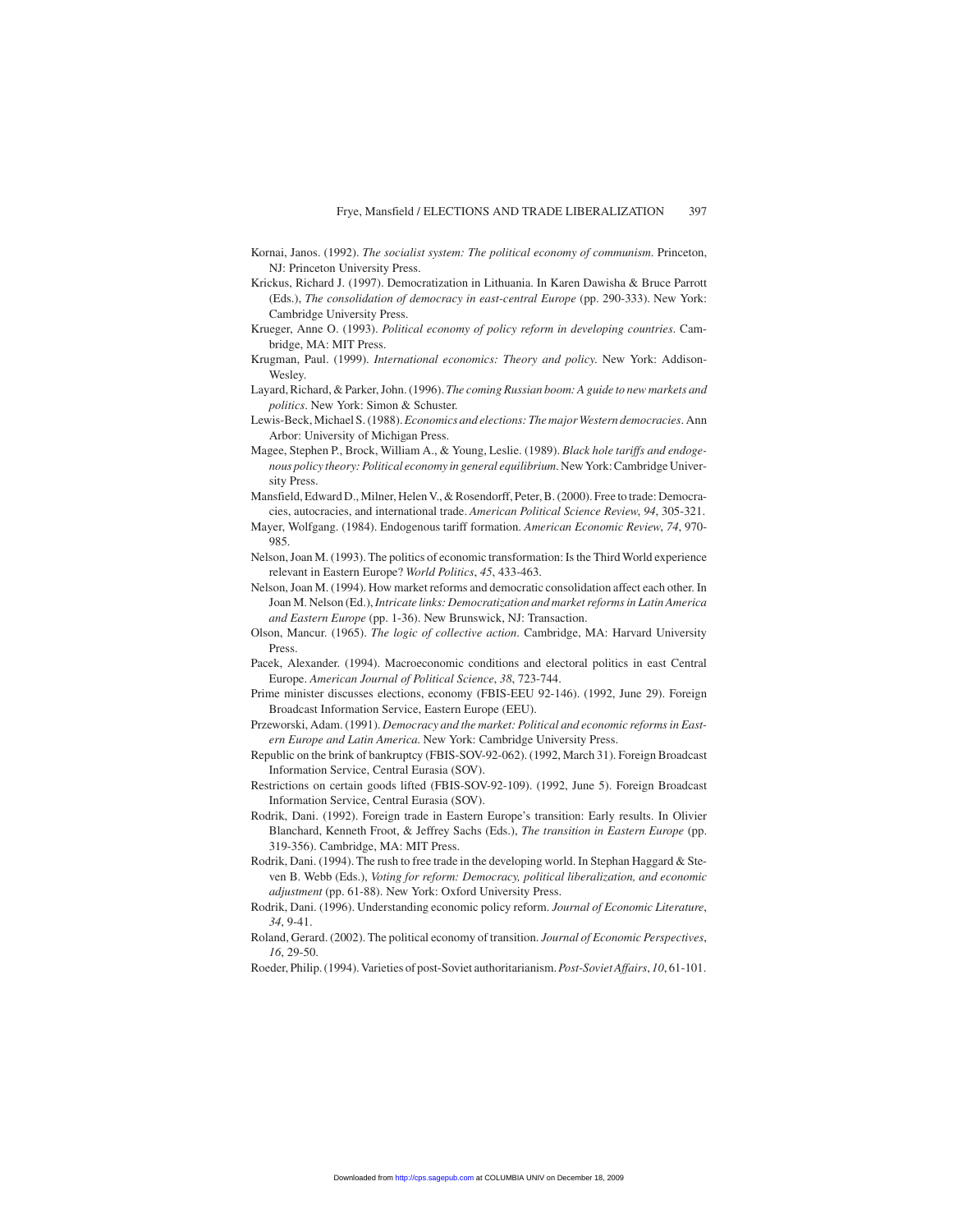- Kornai, Janos. (1992). *The socialist system: The political economy of communism*. Princeton, NJ: Princeton University Press.
- Krickus, Richard J. (1997). Democratization in Lithuania. In Karen Dawisha & Bruce Parrott (Eds.), *The consolidation of democracy in east-central Europe* (pp. 290-333). New York: Cambridge University Press.
- Krueger, Anne O. (1993). *Political economy of policy reform in developing countries*. Cambridge, MA: MIT Press.
- Krugman, Paul. (1999). *International economics: Theory and policy*. New York: Addison-Wesley.
- Layard, Richard, & Parker, John. (1996). *The coming Russian boom: A guide to new markets and politics*. New York: Simon & Schuster.
- Lewis-Beck, Michael S. (1988).*Economics and elections: The major Western democracies*. Ann Arbor: University of Michigan Press.
- Magee, Stephen P., Brock, William A., & Young, Leslie. (1989). *Black hole tariffs and endogenous policy theory: Political economy in general equilibrium*. New York: Cambridge University Press.
- Mansfield, Edward D., Milner, Helen V., & Rosendorff, Peter, B. (2000). Free to trade: Democracies, autocracies, and international trade. *American Political Science Review*, *94*, 305-321.
- Mayer, Wolfgang. (1984). Endogenous tariff formation. *American Economic Review*, *74*, 970- 985.
- Nelson, Joan M. (1993). The politics of economic transformation: Is the Third World experience relevant in Eastern Europe? *World Politics*, *45*, 433-463.
- Nelson, Joan M. (1994). How market reforms and democratic consolidation affect each other. In Joan M. Nelson (Ed.),*Intricate links: Democratization and market reforms in Latin America and Eastern Europe* (pp. 1-36). New Brunswick, NJ: Transaction.
- Olson, Mancur. (1965). *The logic of collective action*. Cambridge, MA: Harvard University Press.
- Pacek, Alexander. (1994). Macroeconomic conditions and electoral politics in east Central Europe. *American Journal of Political Science*, *38*, 723-744.
- Prime minister discusses elections, economy (FBIS-EEU 92-146). (1992, June 29). Foreign Broadcast Information Service, Eastern Europe (EEU).
- Przeworski, Adam. (1991). *Democracy and the market: Political and economic reforms in Eastern Europe and Latin America*. New York: Cambridge University Press.
- Republic on the brink of bankruptcy (FBIS-SOV-92-062). (1992, March 31). Foreign Broadcast Information Service, Central Eurasia (SOV).
- Restrictions on certain goods lifted (FBIS-SOV-92-109). (1992, June 5). Foreign Broadcast Information Service, Central Eurasia (SOV).
- Rodrik, Dani. (1992). Foreign trade in Eastern Europe's transition: Early results. In Olivier Blanchard, Kenneth Froot, & Jeffrey Sachs (Eds.), *The transition in Eastern Europe* (pp. 319-356). Cambridge, MA: MIT Press.
- Rodrik, Dani. (1994). The rush to free trade in the developing world. In Stephan Haggard & Steven B. Webb (Eds.), *Voting for reform: Democracy, political liberalization, and economic adjustment* (pp. 61-88). New York: Oxford University Press.
- Rodrik, Dani. (1996). Understanding economic policy reform. *Journal of Economic Literature*, *34*, 9-41.
- Roland, Gerard. (2002). The political economy of transition. *Journal of Economic Perspectives*, *16*, 29-50.
- Roeder, Philip. (1994). Varieties of post-Soviet authoritarianism.*Post-Soviet Affairs*, *10*, 61-101.